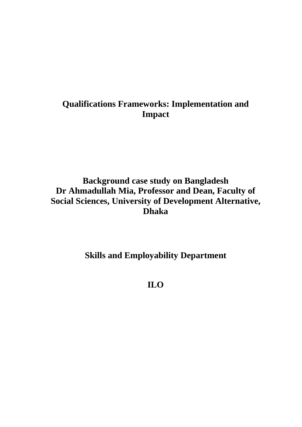# **Qualifications Frameworks: Implementation and Impact**

# **Background case study on Bangladesh Dr Ahmadullah Mia, Professor and Dean, Faculty of Social Sciences, University of Development Alternative, Dhaka**

# **Skills and Employability Department**

**ILO**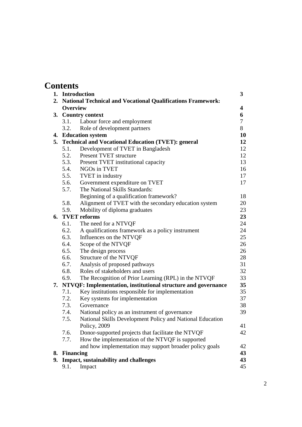| <b>Contents</b> |
|-----------------|
|-----------------|

|    |                  | 1. Introduction                                                  | 3      |
|----|------------------|------------------------------------------------------------------|--------|
|    |                  | 2. National Technical and Vocational Qualifications Framework:   |        |
|    | <b>Overview</b>  |                                                                  | 4      |
|    |                  | 3. Country context                                               | 6      |
|    | 3.1.             | Labour force and employment                                      | $\tau$ |
|    | 3.2.             | Role of development partners                                     | 8      |
|    |                  | 4. Education system                                              | 10     |
|    |                  | 5. Technical and Vocational Education (TVET): general            | 12     |
|    | 5.1.             | Development of TVET in Bangladesh                                | 12     |
|    | 5.2.             | Present TVET structure                                           | 12     |
|    |                  | 5.3. Present TVET institutional capacity                         | 13     |
|    |                  | 5.4. NGOs in TVET                                                | 16     |
|    |                  | 5.5. TVET in industry                                            | 17     |
|    | 5.6.             | Government expenditure on TVET                                   | 17     |
|    | 5.7.             | The National Skills Standards:                                   |        |
|    |                  | Beginning of a qualification framework?                          | 18     |
|    | 5.8.             | Alignment of TVET with the secondary education system            | 20     |
|    | 5.9.             | Mobility of diploma graduates                                    | 23     |
|    |                  | 6. TVET reforms                                                  | 23     |
|    | 6.1.             | The need for a NTVQF                                             | 24     |
|    | 6.2.             | A qualifications framework as a policy instrument                | 24     |
|    | 6.3.             | Influences on the NTVQF                                          | 25     |
|    | 6.4.             | Scope of the NTVQF                                               | 26     |
|    | 6.5.             | The design process                                               | 26     |
|    | 6.6.             | Structure of the NTVQF                                           | 28     |
|    | 6.7.             | Analysis of proposed pathways                                    | 31     |
|    | 6.8.             | Roles of stakeholders and users                                  | 32     |
|    | 6.9.             | The Recognition of Prior Learning (RPL) in the NTVQF             | 33     |
|    |                  | 7. NTVQF: Implementation, institutional structure and governance | 35     |
|    | 7.1.             | Key institutions responsible for implementation                  | 35     |
|    | 7.2.             | Key systems for implementation                                   | 37     |
|    | 7.3.             | Governance                                                       | 38     |
|    | 7.4.             | National policy as an instrument of governance                   | 39     |
|    | 7.5.             | National Skills Development Policy and National Education        |        |
|    |                  | Policy, 2009                                                     | 41     |
|    | 7.6.             | Donor-supported projects that facilitate the NTVQF               | 42     |
|    | 7.7.             | How the implementation of the NTVQF is supported                 |        |
|    |                  | and how implementation may support broader policy goals          | 42     |
| 8. | <b>Financing</b> |                                                                  | 43     |
| 9. |                  | Impact, sustainability and challenges                            | 43     |
|    | 9.1.             | Impact                                                           | 45     |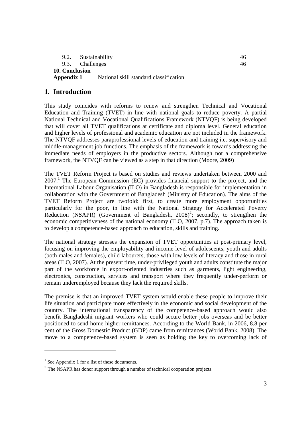|                | 9.2. Sustainability                    | 46. |
|----------------|----------------------------------------|-----|
|                | 9.3. Challenges                        | 46. |
| 10. Conclusion |                                        |     |
| Appendix 1     | National skill standard classification |     |

## **1. Introduction**

This study coincides with reforms to renew and strengthen Technical and Vocational Education and Training (TVET) in line with national goals to reduce poverty. A partial National Technical and Vocational Qualifications Framework (NTVQF) is being developed that will cover all TVET qualifications at certificate and diploma level. General education and higher levels of professional and academic education are not included in the framework. The NTVQF addresses paraprofessional levels of education and training i.e. supervisory and middle-management job functions. The emphasis of the framework is towards addressing the immediate needs of employers in the productive sectors. Although not a comprehensive framework, the NTVQF can be viewed as a step in that direction (Moore, 2009)

The TVET Reform Project is based on studies and reviews undertaken between 2000 and  $2007<sup>1</sup>$  The European Commission (EC) provides financial support to the project, and the International Labour Organisation (ILO) in Bangladesh is responsible for implementation in collaboration with the Government of Bangladesh (Ministry of Education). The aims of the TVET Reform Project are twofold: first, to create more employment opportunities particularly for the poor, in line with the National Strategy for Accelerated Poverty Reduction (NSAPR) (Government of Bangladesh,  $2008$ )<sup>2</sup>; secondly, to strengthen the economic competitiveness of the national economy (ILO, 2007, p.7). The approach taken is to develop a competence-based approach to education, skills and training.

The national strategy stresses the expansion of TVET opportunities at post-primary level, focusing on improving the employability and income-level of adolescents, youth and adults (both males and females), child labourers, those with low levels of literacy and those in rural areas (ILO, 2007). At the present time, under-privileged youth and adults constitute the major part of the workforce in export-oriented industries such as garments, light engineering, electronics, construction, services and transport where they frequently under-perform or remain underemployed because they lack the required skills.

The premise is that an improved TVET system would enable these people to improve their life situation and participate more effectively in the economic and social development of the country. The international transparency of the competence-based approach would also benefit Bangladeshi migrant workers who could secure better jobs overseas and be better positioned to send home higher remittances. According to the World Bank, in 2006, 8.8 per cent of the Gross Domestic Product (GDP) came from remittances (World Bank, 2008). The move to a competence-based system is seen as holding the key to overcoming lack of

 $\overline{a}$ 

<sup>&</sup>lt;sup>1</sup> See Appendix 1 for a list of these documents.

<sup>&</sup>lt;sup>2</sup> The NSAPR has donor support through a number of technical cooperation projects.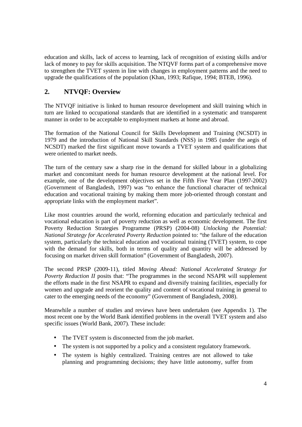education and skills, lack of access to learning, lack of recognition of existing skills and/or lack of money to pay for skills acquisition. The NTQVF forms part of a comprehensive move to strengthen the TVET system in line with changes in employment patterns and the need to upgrade the qualifications of the population (Khan, 1993; Rafique, 1994; BTEB, 1996).

## **2. NTVQF: Overview**

The NTVQF initiative is linked to human resource development and skill training which in turn are linked to occupational standards that are identified in a systematic and transparent manner in order to be acceptable to employment markets at home and abroad.

The formation of the National Council for Skills Development and Training (NCSDT) in 1979 and the introduction of National Skill Standards (NSS) in 1985 (under the aegis of NCSDT) marked the first significant move towards a TVET system and qualifications that were oriented to market needs.

The turn of the century saw a sharp rise in the demand for skilled labour in a globalizing market and concomitant needs for human resource development at the national level. For example, one of the development objectives set in the Fifth Five Year Plan (1997-2002) (Government of Bangladesh, 1997) was "to enhance the functional character of technical education and vocational training by making them more job-oriented through constant and appropriate links with the employment market".

Like most countries around the world, reforming education and particularly technical and vocational education is part of poverty reduction as well as economic development. The first Poverty Reduction Strategies Programme (PRSP) (2004-08) *Unlocking the Potential: National Strategy for Accelerated Poverty Reduction* pointed to: "the failure of the education system, particularly the technical education and vocational training (TVET) system, to cope with the demand for skills, both in terms of quality and quantity will be addressed by focusing on market driven skill formation" (Government of Bangladesh, 2007).

The second PRSP (2009-11), titled *Moving Ahead: National Accelerated Strategy for Poverty Reduction II* posits that: "The programmes in the second NSAPR will supplement the efforts made in the first NSAPR to expand and diversify training facilities, especially for women and upgrade and reorient the quality and content of vocational training in general to cater to the emerging needs of the economy" (Government of Bangladesh, 2008).

Meanwhile a number of studies and reviews have been undertaken (see Appendix 1). The most recent one by the World Bank identified problems in the overall TVET system and also specific issues (World Bank, 2007). These include:

- The TVET system is disconnected from the job market.
- The system is not supported by a policy and a consistent regulatory framework.
- The system is highly centralized. Training centres are not allowed to take planning and programming decisions; they have little autonomy, suffer from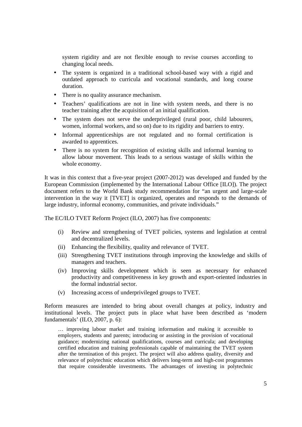system rigidity and are not flexible enough to revise courses according to changing local needs.

- The system is organized in a traditional school-based way with a rigid and outdated approach to curricula and vocational standards, and long course duration.
- There is no quality assurance mechanism.
- Teachers' qualifications are not in line with system needs, and there is no teacher training after the acquisition of an initial qualification.
- The system does not serve the underprivileged (rural poor, child labourers, women, informal workers, and so on) due to its rigidity and barriers to entry.
- Informal apprenticeships are not regulated and no formal certification is awarded to apprentices.
- There is no system for recognition of existing skills and informal learning to allow labour movement. This leads to a serious wastage of skills within the whole economy.

It was in this context that a five-year project (2007-2012) was developed and funded by the European Commission (implemented by the International Labour Office [ILO]). The project document refers to the World Bank study recommendation for "an urgent and large-scale intervention in the way it [TVET] is organized, operates and responds to the demands of large industry, informal economy, communities, and private individuals."

The EC/ILO TVET Reform Project (ILO, 2007) has five components:

- (i) Review and strengthening of TVET policies, systems and legislation at central and decentralized levels.
- (ii) Enhancing the flexibility, quality and relevance of TVET.
- (iii) Strengthening TVET institutions through improving the knowledge and skills of managers and teachers.
- (iv) Improving skills development which is seen as necessary for enhanced productivity and competitiveness in key growth and export-oriented industries in the formal industrial sector.
- (v) Increasing access of underprivileged groups to TVET.

Reform measures are intended to bring about overall changes at policy, industry and institutional levels. The project puts in place what have been described as 'modern fundamentals' (ILO, 2007, p. 6):

… improving labour market and training information and making it accessible to employers, students and parents; introducing or assisting in the provision of vocational guidance; modernizing national qualifications, courses and curricula; and developing certified education and training professionals capable of maintaining the TVET system after the termination of this project. The project will also address quality, diversity and relevance of polytechnic education which delivers long-term and high-cost programmes that require considerable investments. The advantages of investing in polytechnic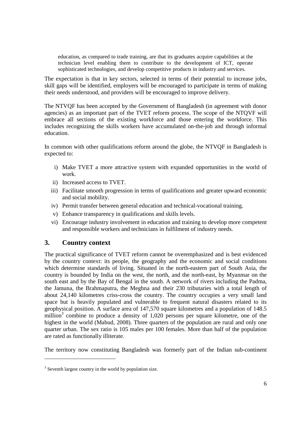education, as compared to trade training, are that its graduates acquire capabilities at the technician level enabling them to contribute to the development of ICT, operate sophisticated technologies, and develop competitive products in industry and services.

The expectation is that in key sectors, selected in terms of their potential to increase jobs, skill gaps will be identified, employers will be encouraged to participate in terms of making their needs understood, and providers will be encouraged to improve delivery.

The NTVQF has been accepted by the Government of Bangladesh (in agreement with donor agencies) as an important part of the TVET reform process. The scope of the NTQVF will embrace all sections of the existing workforce and those entering the workforce. This includes recognizing the skills workers have accumulated on-the-job and through informal education.

In common with other qualifications reform around the globe, the NTVQF in Bangladesh is expected to:

- i) Make TVET a more attractive system with expanded opportunities in the world of work.
- ii) Increased access to TVET.
- iii) Facilitate smooth progression in terms of qualifications and greater upward economic and social mobility.
- iv) Permit transfer between general education and technical-vocational training.
- v) Enhance transparency in qualifications and skills levels.
- vi) Encourage industry involvement in education and training to develop more competent and responsible workers and technicians in fulfilment of industry needs.

## **3. Country context**

 $\overline{a}$ 

The practical significance of TVET reform cannot be overemphasized and is best evidenced by the country context: its people, the geography and the economic and social conditions which determine standards of living. Situated in the north-eastern part of South Asia, the country is bounded by India on the west, the north, and the north-east, by Myanmar on the south east and by the Bay of Bengal in the south. A network of rivers including the Padma, the Jamuna, the Brahmaputra, the Meghna and their 230 tributaries with a total length of about 24,140 kilometres criss-cross the country. The country occupies a very small land space but is heavily populated and vulnerable to frequent natural disasters related to its geophysical position. A surface area of 147,570 square kilometres and a population of 148.5 million<sup>3</sup> combine to produce a density of  $1,020$  persons per square kilometre, one of the highest in the world (Mabud, 2008). Three quarters of the population are rural and only one quarter urban. The sex ratio is 105 males per 100 females. More than half of the population are rated as functionally illiterate.

The territory now constituting Bangladesh was formerly part of the Indian sub-continent

<sup>&</sup>lt;sup>3</sup> Seventh largest country in the world by population size.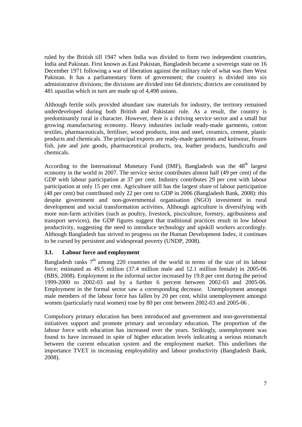ruled by the British till 1947 when India was divided to form two independent countries, India and Pakistan. First known as East Pakistan, Bangladesh became a sovereign state on 16 December 1971 following a war of liberation against the military rule of what was then West Pakistan. It has a parliamentary form of government; the country is divided into six administrative divisions; the divisions are divided into 64 districts; districts are constituted by 481 upazilas which in turn are made up of 4,498 unions.

Although fertile soils provided abundant raw materials for industry, the territory remained underdeveloped during both British and Pakistani rule. As a result, the country is predominantly rural in character. However, there is a thriving service sector and a small but growing manufacturing economy. Heavy industries include ready-made garments, cotton textiles, pharmaceuticals, fertiliser, wood products, iron and steel, ceramics, cement, plastic products and chemicals. The principal exports are ready-made garments and knitwear, frozen fish, jute and jute goods, pharmaceutical products, tea, leather products, handicrafts and chemicals.

According to the International Monetary Fund (IMF), Bangladesh was the  $48<sup>th</sup>$  largest economy in the world in 2007. The service sector contributes almost half (49 per cent) of the GDP with labour participation at 37 per cent. Industry contributes 29 per cent with labour participation at only 15 per cent. Agriculture still has the largest share of labour participation (48 per cent) but contributed only 22 per cent to GDP in 2006 (Bangladesh Bank, 2008): this despite government and non-governmental organisation (NGO) investment in rural development and social transformation activities. Although agriculture is diversifying with more non-farm activities (such as poultry, livestock, pisciculture, forestry, agribusiness and transport services), the GDP figures suggest that traditional practices result in low labour productivity, suggesting the need to introduce technology and upskill workers accordingly. Although Bangladesh has strived to progress on the Human Development Index, it continues to be cursed by persistent and widespread poverty (UNDP, 2008).

## **3.1. Labour force and employment**

Bangladesh ranks  $7<sup>th</sup>$  among 220 countries of the world in terms of the size of its labour force; estimated as 49.5 million (37.4 million male and 12.1 million female) in 2005-06 (BBS, 2008). Employment in the informal sector increased by 19.8 per cent during the period 1999-2000 to 2002-03 and by a further 6 percent between 2002-03 and 2005-06. Employment in the formal sector saw a corresponding decrease. Unemployment amongst male members of the labour force has fallen by 20 per cent, whilst unemployment amongst women (particularly rural women) rose by 80 per cent between 2002-03 and 2005-06 .

Compulsory primary education has been introduced and government and non-governmental initiatives support and promote primary and secondary education. The proportion of the labour force with education has increased over the years. Strikingly, unemployment was found to have increased in spite of higher education levels indicating a serious mismatch between the current education system and the employment market. This underlines the importance TVET in increasing employability and labour productivity (Bangladesh Bank, 2008).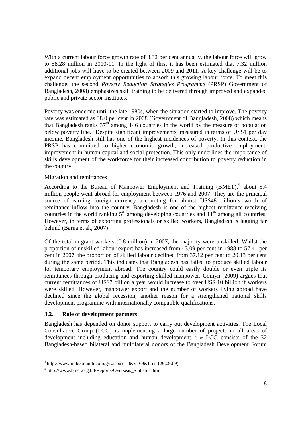With a current labour force growth rate of 3.32 per cent annually, the labour force will grow to 58.28 million in 2010-11. In the light of this, it has been estimated that 7.32 million additional jobs will have to be created between 2009 and 2011. A key challenge will be to expand decent employment opportunities to absorb this growing labour force. To meet this challenge, the second *Poverty Reduction Strategies Programme* (PRSP) Government of Bangladesh, 2008) emphasizes skill training to be delivered through improved and expanded public and private sector institutes.

Poverty was endemic until the late 1980s, when the situation started to improve. The poverty rate was estimated as 38.0 per cent in 2008 (Government of Bangladesh, 2008) which means that Bangladesh ranks  $37<sup>th</sup>$  among 146 countries in the world by the measure of population below poverty line.<sup>4</sup> Despite significant improvements, measured in terms of US\$1 per day income, Bangladesh still has one of the highest incidences of poverty. In this context, the PRSP has committed to higher economic growth, increased productive employment, improvement in human capital and social protection. This only underlines the importance of skills development of the workforce for their increased contribution to poverty reduction in the country.

#### Migration and remittances

According to the Bureau of Manpower Employment and Training  $(BMET)^5$  about 5.4 million people went abroad for employment between 1976 and 2007. They are the principal source of earning foreign currency accounting for almost US\$48 billion's worth of remittance inflow into the country. Bangladesh is one of the highest remittance-receiving countries in the world ranking  $5<sup>th</sup>$  among developing countries and  $11<sup>th</sup>$  among all countries. However, in terms of exporting professionals or skilled workers, Bangladesh is lagging far behind (Barua et al., 2007)

Of the total migrant workers (0.8 million) in 2007, the majority were unskilled. Whilst the proportion of unskilled labour export has increased from 43.09 per cent in 1988 to 57.41 per cent in 2007, the proportion of skilled labour declined from 37.12 per cent to 20.13 per cent during the same period. This indicates that Bangladesh has failed to produce skilled labour for temporary employment abroad. The country could easily double or even triple its remittances through producing and exporting skilled manpower. Comyn (2009) argues that current remittances of US\$7 billion a year would increase to over US\$ 10 billion if workers were skilled. However, manpower export and the number of workers living abroad have declined since the global recession, another reason for a strengthened national skills development programme with internationally compatible qualifications.

## **3.2. Role of development partners**

 $\overline{a}$ 

Bangladesh has depended on donor support to carry out development activities. The Local Consultative Group (LCG) is implementing a large number of projects in all areas of development including education and human development. The LCG consists of the 32 Bangladesh-based bilateral and multilateral donors of the Bangladesh Development Forum

 $4$ http://www.indexmundi.com/g/r.aspx?t=0&v=69&l=en (29.09.09)

<sup>5</sup> http://www.bmet.org.bd/Reports/Overseas\_Statistics.htm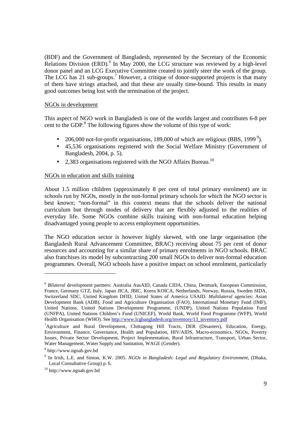(BDF) and the Government of Bangladesh, represented by the Secretary of the Economic Relations Division (ERD). $^{6}$  In May 2000, the LCG structure was reviewed by a high-level donor panel and an LCG Executive Committee created to jointly steer the work of the group. The LCG has 21 sub-groups.<sup>7</sup> However, a critique of donor-supported projects is that many of them have strings attached, and that these are usually time-bound. This results in many good outcomes being lost with the termination of the project.

#### NGOs in development

This aspect of NGO work in Bangladesh is one of the worlds largest and contributes 6-8 per cent to the GDP.<sup>8</sup> The following figures show the volume of this type of work:

- 206,000 not-for-profit organisations, 189,000 of which are religious (BBS, 1999 $^9$ ).
- 45,536 organisations registered with the Social Welfare Ministry (Government of Bangladesh, 2004, p. 5).
- 2,383 organisations registered with the NGO Affairs Bureau.<sup>10</sup>

#### NGOs in education and skills training

About 1.5 million children (approximately 8 per cent of total primary enrolment) are in schools run by NGOs, mostly in the non-formal primary schools for which the NGO sector is best known; "non-formal" in this context means that the schools deliver the national curriculum but through modes of delivery that are flexibly adjusted to the realities of everyday life. Some NGOs combine skills training with non-formal education helping disadvantaged young people to access employment opportunities.

The NGO education sector is however highly skewed, with one large organisation (the Bangladesh Rural Advancement Committee, BRAC) receiving about 75 per cent of donor resources and accounting for a similar share of primary enrolments in NGO schools. BRAC also franchises its model by subcontracting 200 small NGOs to deliver non-formal education programmes. Overall, NGO schools have a positive impact on school enrolment, particularly

 $\overline{a}$ 

<sup>6</sup> *Bilateral* development partners: Australia AusAID, Canada CIDA, China, Denmark, European Commission, France, Germany GTZ, Italy, Japan JICA, JBIC, Korea KOICA, Netherlands, Norway, Russia, Sweden SIDA, Switzerland SDC, United Kingdom DFID, United States of America USAID. *Multilateral* agencies: Asian Development Bank (ADB), Food and Agriculture Organisation (FAO), International Monetary Fund (IMF), United Nations, United Nations Development Programme, (UNDP), United Nations Population Fund (UNFPA), United Nations Children's Fund (UNICEF), World Bank, World Food Programme (WFP), World Health Organisation (WHO). See http://www.lcgbangladesh.org/inventory/13\_inventory.pdf

<sup>7</sup>Agriculture and Rural Development, Chittagong Hill Tracts, DER (Disasters), Education, Energy, Environment, Finance, Governance, Health and Population, HIV/AIDS, Macro-economics, NGOs, Poverty Issues, Private Sector Development, Project Implementation, Rural Infrastructure, Transport, Urban Sector, Water Management, Water Supply and Sanitation, WAGE (Gender).

<sup>8</sup> http://www.ngoab.gov.bd

<sup>9</sup> In Irish, L.E. and Simon, K.W. 2005. *NGOs in Bangladesh: Legal and Regulatory Environment*, (Dhaka, Local Consultative Group) p. 6.

<sup>10</sup> http://www.ngoab.gov.bd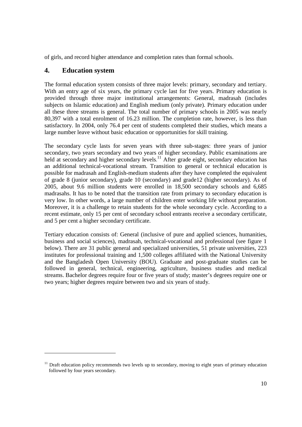of girls, and record higher attendance and completion rates than formal schools.

## **4. Education system**

 $\overline{a}$ 

The formal education system consists of three major levels: primary, secondary and tertiary. With an entry age of six years, the primary cycle last for five years. Primary education is provided through three major institutional arrangements: General, madrasah (includes subjects on Islamic education) and English medium (only private). Primary education under all these three streams is general. The total number of primary schools in 2005 was nearly 80,397 with a total enrolment of 16.23 million. The completion rate, however, is less than satisfactory. In 2004, only 76.4 per cent of students completed their studies, which means a large number leave without basic education or opportunities for skill training.

The secondary cycle lasts for seven years with three sub-stages: three years of junior secondary, two years secondary and two years of higher secondary. Public examinations are held at secondary and higher secondary levels.<sup>11</sup> After grade eight, secondary education has an additional technical-vocational stream. Transition to general or technical education is possible for madrasah and English-medium students after they have completed the equivalent of grade 8 (junior secondary), grade 10 (secondary) and grade12 (higher secondary). As of 2005, about 9.6 million students were enrolled in 18,500 secondary schools and 6,685 madrasahs. It has to be noted that the transition rate from primary to secondary education is very low. In other words, a large number of children enter working life without preparation. Moreover, it is a challenge to retain students for the whole secondary cycle. According to a recent estimate, only 15 per cent of secondary school entrants receive a secondary certificate, and 5 per cent a higher secondary certificate.

Tertiary education consists of: General (inclusive of pure and applied sciences, humanities, business and social sciences), madrasah, technical-vocational and professional (see figure 1 below). There are 31 public general and specialized universities, 51 private universities, 223 institutes for professional training and 1,500 colleges affiliated with the National University and the Bangladesh Open University (BOU). Graduate and post-graduate studies can be followed in general, technical, engineering, agriculture, business studies and medical streams. Bachelor degrees require four or five years of study; master's degrees require one or two years; higher degrees require between two and six years of study.

<sup>&</sup>lt;sup>11</sup> Draft education policy recommends two levels up to secondary, moving to eight years of primary education followed by four years secondary.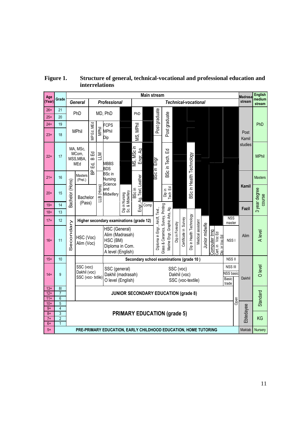| Age            |                                  | <b>Main stream</b>                 |                                                                                                                                                             |                                          |               |                                                                 |                           |                                                | Madrasa                                                              | <b>English</b>  |                       |                          |                   |                                                      |               |                                   |         |                  |                      |                |               |                         |
|----------------|----------------------------------|------------------------------------|-------------------------------------------------------------------------------------------------------------------------------------------------------------|------------------------------------------|---------------|-----------------------------------------------------------------|---------------------------|------------------------------------------------|----------------------------------------------------------------------|-----------------|-----------------------|--------------------------|-------------------|------------------------------------------------------|---------------|-----------------------------------|---------|------------------|----------------------|----------------|---------------|-------------------------|
| (Year)         | Grade                            |                                    | <b>General</b>                                                                                                                                              |                                          |               | <b>Professional</b>                                             |                           |                                                | Technical-vocational                                                 |                 |                       |                          |                   |                                                      |               |                                   | stream  | medium<br>stream |                      |                |               |                         |
| $26+$          | 21                               |                                    | PhD                                                                                                                                                         | MD, PhD                                  |               |                                                                 | PhD                       |                                                |                                                                      |                 |                       |                          |                   |                                                      |               |                                   |         |                  |                      |                |               |                         |
| $25+$          | 20                               |                                    |                                                                                                                                                             |                                          |               |                                                                 |                           |                                                |                                                                      | Post graduate   |                       |                          |                   |                                                      |               |                                   |         |                  |                      |                |               |                         |
| $24+$          | 19                               |                                    |                                                                                                                                                             |                                          |               | <b>FCPS</b>                                                     |                           |                                                |                                                                      |                 |                       |                          |                   |                                                      |               |                                   |         |                  |                      |                |               | PhD                     |
| $23+$          | 18                               |                                    | <b>MPhil</b>                                                                                                                                                | Ed, MEd<br>$\bar{P}$                     | MPhil         | MPhil<br>Dip                                                    |                           | MS, MPhil                                      |                                                                      |                 | Post graduate         |                          |                   |                                                      |               |                                   |         |                  |                      |                | Post<br>Kamil |                         |
| $22+$          | 17                               |                                    | MA, MSc,<br>MCom,<br>MSS, MBA,<br>MEd                                                                                                                       | 모<br>$\mathbf{\Omega}$<br>$\overline{B}$ | NTT           | <b>MBBS</b><br><b>BDS</b>                                       |                           | MS, MScin<br>Engr, Ag                          |                                                                      | BScin Engr      | 묘<br>BSc in Tech.     |                          |                   | BSc in Health Technology                             |               |                                   |         |                  |                      |                | studies       | <b>MPhil</b>            |
| $21+$          | 16                               |                                    | Masters<br>(Prel.)                                                                                                                                          | å                                        |               | <b>BSc</b> in<br>Nursing<br>Science                             |                           |                                                |                                                                      |                 |                       |                          |                   |                                                      |               |                                   |         |                  |                      |                |               | <b>Masters</b>          |
| $20+$          | 15                               | Bachelor (Hons)                    | Bachelor                                                                                                                                                    |                                          | B (Hons)<br>ᆜ | and<br>Midwifery                                                | in Nursing<br>& Midwifery | Engr, Ag, Text, Leather<br>BSc in              |                                                                      |                 | Dip in<br>Tech Ed     |                          |                   |                                                      |               |                                   |         |                  |                      |                | <b>Kamil</b>  | 3 year degree<br>course |
| $19+$          | 14                               |                                    | (Pass)                                                                                                                                                      |                                          |               |                                                                 |                           |                                                | Comp                                                                 |                 |                       |                          |                   |                                                      |               |                                   |         |                  |                      |                |               |                         |
| $18+$          | 13                               |                                    |                                                                                                                                                             |                                          |               |                                                                 | ှု<br>မြို့               |                                                |                                                                      |                 |                       |                          |                   |                                                      |               |                                   |         |                  |                      |                | Fazil         |                         |
| $17+$          | 12                               |                                    |                                                                                                                                                             |                                          |               |                                                                 |                           |                                                |                                                                      |                 |                       |                          |                   |                                                      |               |                                   |         |                  | <b>NSS</b><br>master |                |               |                         |
| $16+$          | 11                               | econdary<br>w                      | Higher secondary examinations (grade 12)<br>HSC (General)<br>Alim (Madrasah)<br>HSC (Voc)<br>HSC (BM)<br>Alim (Voc)<br>Diploma in Com.<br>A level (English) |                                          |               |                                                                 |                           | Diploma in Engr., Aircft, Text.,               | Glass & Ceramics, Survey, Printing<br>Marine Engr, Graphic Arts, Ag. | Dip in Forestry | Certificate in Survey | Dip in Health Technology | Medical assistant | Junior midwife                                       | Computer trng | Cert. in Voc Ed<br>Jin, in Voc Ed | NSS I   |                  | Alim                 | <b>A</b> level |               |                         |
| $15+$          | 10                               |                                    |                                                                                                                                                             |                                          |               |                                                                 |                           |                                                | Secondary school examinations (grade 10)                             |                 |                       |                          |                   |                                                      |               |                                   |         |                  | NSS II               |                |               |                         |
| $14+$          | 9                                |                                    | SSC (voc)<br>SSC (general)<br>Dakhil (voc)<br>Dakhil (madrasah)<br>SSC (voc- txtile)<br>O level (English)                                                   |                                          |               |                                                                 |                           | SSC (voc)<br>Dakhil (voc)<br>SSC (voc-textile) |                                                                      |                 |                       |                          |                   | <b>NSS III</b><br><b>NSS</b> basic<br>Basic<br>trade |               | <b>Dakhil</b>                     | O level |                  |                      |                |               |                         |
| $13+$          | 81                               |                                    |                                                                                                                                                             |                                          |               |                                                                 |                           |                                                |                                                                      |                 |                       |                          |                   |                                                      |               |                                   |         |                  |                      |                |               |                         |
| $12+$<br>$11+$ | $\overline{7}$<br>$\overline{6}$ |                                    |                                                                                                                                                             |                                          |               |                                                                 |                           |                                                | <b>JUNIOR SECONDARY EDUCATION (grade 8)</b>                          |                 |                       |                          |                   |                                                      |               |                                   |         |                  |                      |                |               | Standard                |
| $10+$          | 5                                |                                    |                                                                                                                                                             |                                          |               |                                                                 |                           |                                                |                                                                      |                 |                       |                          |                   |                                                      |               |                                   |         |                  |                      | Open           |               |                         |
| $9+$<br>$8+$   | $\overline{4}$<br>$\overline{3}$ | <b>PRIMARY EDUCATION (grade 5)</b> |                                                                                                                                                             |                                          |               |                                                                 |                           |                                                |                                                                      |                 |                       |                          |                   |                                                      |               |                                   |         |                  |                      |                |               |                         |
| $7+$<br>$6+$   | $\overline{2}$<br>$\overline{1}$ |                                    |                                                                                                                                                             |                                          |               |                                                                 |                           |                                                |                                                                      |                 |                       |                          |                   |                                                      |               |                                   |         |                  |                      |                | Ebtedayee     | <b>KG</b>               |
| $5+$           |                                  |                                    |                                                                                                                                                             |                                          |               | PRE-PRIMARY EDUCATION, EARLY CHILDHOOD EDUCATION, HOME TUTORING |                           |                                                |                                                                      |                 |                       |                          |                   |                                                      |               |                                   |         |                  |                      |                | Maktab        | <b>Nursery</b>          |

**Figure 1. Structure of general, technical-vocational and professional education and interrelations**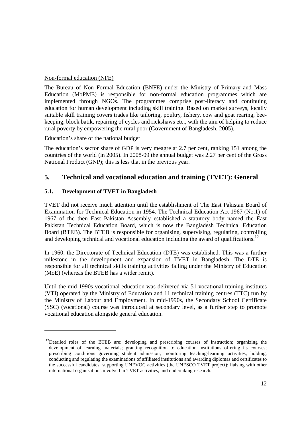#### Non-formal education (NFE)

The Bureau of Non Formal Education (BNFE) under the Ministry of Primary and Mass Education (MoPME) is responsible for non-formal education programmes which are implemented through NGOs. The programmes comprise post-literacy and continuing education for human development including skill training. Based on market surveys, locally suitable skill training covers trades like tailoring, poultry, fishery, cow and goat rearing, beekeeping, block batik, repairing of cycles and rickshaws etc., with the aim of helping to reduce rural poverty by empowering the rural poor (Government of Bangladesh, 2005).

#### Education's share of the national budget

The education's sector share of GDP is very meagre at 2.7 per cent, ranking 151 among the countries of the world (in 2005). In 2008-09 the annual budget was 2.27 per cent of the Gross National Product (GNP); this is less that in the previous year.

## **5. Technical and vocational education and training (TVET): General**

## **5.1. Development of TVET in Bangladesh**

 $\overline{a}$ 

TVET did not receive much attention until the establishment of The East Pakistan Board of Examination for Technical Education in 1954. The Technical Education Act 1967 (No.1) of 1967 of the then East Pakistan Assembly established a statutory body named the East Pakistan Technical Education Board, which is now the Bangladesh Technical Education Board (BTEB). The BTEB is responsible for organising, supervising, regulating, controlling and developing technical and vocational education including the award of qualifications.<sup>12</sup>

In 1960, the Directorate of Technical Education (DTE) was established. This was a further milestone in the development and expansion of TVET in Bangladesh. The DTE is responsible for all technical skills training activities falling under the Ministry of Education (MoE) (whereas the BTEB has a wider remit).

Until the mid-1990s vocational education was delivered via 51 vocational training institutes (VTI) operated by the Ministry of Education and 11 technical training centres (TTC) run by the Ministry of Labour and Employment. In mid-1990s, the Secondary School Certificate (SSC) (vocational) course was introduced at secondary level, as a further step to promote vocational education alongside general education.

<sup>&</sup>lt;sup>12</sup>Detailed roles of the BTEB are: developing and prescribing courses of instruction; organizing the development of learning materials; granting recognition to education institutions offering its courses; prescribing conditions governing student admission; monitoring teaching-learning activities; holding, conducting and regulating the examinations of affiliated institutions and awarding diplomas and certificates to the successful candidates; supporting UNEVOC activities (the UNESCO TVET project); liaising with other international organisations involved in TVET activities; and undertaking research.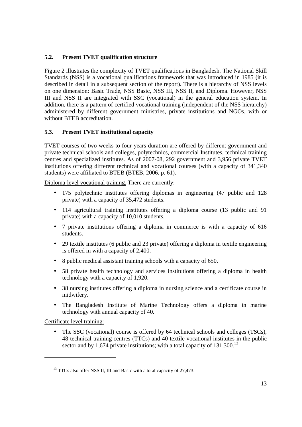## **5.2. Present TVET qualification structure**

Figure 2 illustrates the complexity of TVET qualifications in Bangladesh. The National Skill Standards (NSS) is a vocational qualifications framework that was introduced in 1985 (it is described in detail in a subsequent section of the report). There is a hierarchy of NSS levels on one dimension: Basic Trade, NSS Basic, NSS III, NSS II, and Diploma. However, NSS III and NSS II are integrated with SSC (vocational) in the general education system. In addition, there is a pattern of certified vocational training (independent of the NSS hierarchy) administered by different government ministries, private institutions and NGOs, with or without BTEB accreditation.

#### **5.3. Present TVET institutional capacity**

TVET courses of two weeks to four years duration are offered by different government and private technical schools and colleges, polytechnics, commercial Institutes, technical training centres and specialized institutes. As of 2007-08, 292 government and 3,956 private TVET institutions offering different technical and vocational courses (with a capacity of 341,340 students) were affiliated to BTEB (BTEB, 2006, p. 61).

Diploma-level vocational training. There are currently:

- 175 polytechnic institutes offering diplomas in engineering (47 public and 128 private) with a capacity of 35,472 students.
- 114 agricultural training institutes offering a diploma course (13 public and 91) private) with a capacity of 10,010 students.
- 7 private institutions offering a diploma in commerce is with a capacity of 616 students.
- 29 textile institutes (6 public and 23 private) offering a diploma in textile engineering is offered in with a capacity of 2,400.
- 8 public medical assistant training schools with a capacity of 650.
- 58 private health technology and services institutions offering a diploma in health technology with a capacity of 1,920.
- 38 nursing institutes offering a diploma in nursing science and a certificate course in midwifery.
- The Bangladesh Institute of Marine Technology offers a diploma in marine technology with annual capacity of 40.

Certificate level training:

 $\overline{a}$ 

• The SSC (vocational) course is offered by 64 technical schools and colleges (TSCs), 48 technical training centres (TTCs) and 40 textile vocational institutes in the public sector and by 1,674 private institutions; with a total capacity of  $131,300$ <sup>13</sup>

<sup>&</sup>lt;sup>13</sup> TTCs also offer NSS II, III and Basic with a total capacity of 27,473.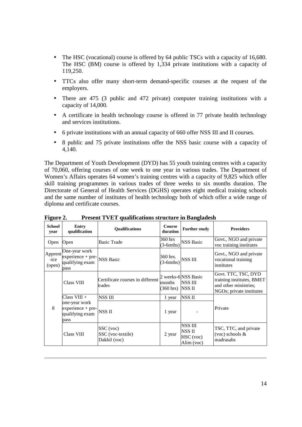- The HSC (vocational) course is offered by 64 public TSCs with a capacity of 16,680. The HSC (BM) course is offered by 1,334 private institutions with a capacity of 119,250.
- TTCs also offer many short-term demand-specific courses at the request of the employers.
- There are 475 (3 public and 472 private) computer training institutions with a capacity of 14,000.
- A certificate in health technology course is offered in 77 private health technology and services institutions.
- 6 private institutions with an annual capacity of 660 offer NSS III and II courses.
- 8 public and 75 private institutions offer the NSS basic course with a capacity of 4,140.

The Department of Youth Development (DYD) has 55 youth training centres with a capacity of 70,060, offering courses of one week to one year in various trades. The Department of Women's Affairs operates 64 women's training centres with a capacity of 9,825 which offer skill training programmes in various trades of three weeks to six months duration. The Directorate of General of Health Services (DGHS) operates eight medical training schools and the same number of institutes of health technology both of which offer a wide range of diploma and certificate courses.

| $\sim$                    |                                                                                                                          | $\ldots$                                       |                               |                                              |                                                                                                       |
|---------------------------|--------------------------------------------------------------------------------------------------------------------------|------------------------------------------------|-------------------------------|----------------------------------------------|-------------------------------------------------------------------------------------------------------|
| <b>School</b><br>year     | <b>Entry</b><br>qualification                                                                                            | <b>Oualifications</b>                          | <b>Course</b><br>duration     | <b>Further study</b>                         | <b>Providers</b>                                                                                      |
| Open                      | Open                                                                                                                     | <b>Basic Trade</b>                             | 360 hrs<br>$(3-6mths)$        | <b>NSS Basic</b>                             | Govt., NGO and private<br>voc training institutes                                                     |
| Apprent<br>-ice<br>(open) | One-year work<br>$\left  \text{experience} + \text{pre-} \right $ NSS Basic<br>qualifying exam<br>pass                   |                                                | 360 hrs.<br>$(3-6mths)$       | <b>NSS III</b>                               | Govt., NGO and private<br>vocational training<br>institutes                                           |
|                           | Class VIII                                                                                                               | Certificate courses in different<br>trades     | months<br>$(360 \text{ hrs})$ | 2 weeks-6 NSS Basic<br>NSS III<br>NSS II     | Govt. TTC, TSC, DYD<br>training institutes, BMET<br>and other ministries;<br>NGOs; private institutes |
|                           | $Class VIII +$                                                                                                           | <b>NSS III</b>                                 | 1 year                        | <b>NSSII</b>                                 |                                                                                                       |
| 8                         | one-year work<br>$\left[\frac{\text{expective}}{\text{expective} + \text{pre}}\right]$ NSS II<br>qualifying exam<br>pass |                                                | 1 year                        |                                              | Private                                                                                               |
|                           | Class VIII                                                                                                               | SSC (voc)<br>SSC (voc-textile)<br>Dakhil (voc) | 2 year                        | NSS III<br>NSS II<br>HSC (voc)<br>Alim (voc) | TSC, TTC, and private<br>(voc) schools $&$<br>madrasahs                                               |

**Figure 2. Present TVET qualifications structure in Bangladesh** 

 $\overline{a}$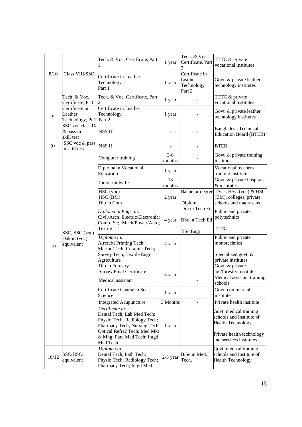|       |                                                      | Tech. & Voc. Certificate, Part                                                                                | 1 year            | Tech. & Voc.<br>Certificate, Part                  | TTTC & private<br>vocational institutes                                                   |
|-------|------------------------------------------------------|---------------------------------------------------------------------------------------------------------------|-------------------|----------------------------------------------------|-------------------------------------------------------------------------------------------|
| 8/10  | Class VIII/SSC                                       | Certificate in Leather<br>Technology,<br>Part 1                                                               | 1 year            | Certificate in<br>Leather<br>Technology,<br>Part 2 | Govt. & private leather<br>technology institutes                                          |
|       | Tech. & Voc.<br>Certificate, Pt 1                    | Tech. & Voc. Certificate, Part                                                                                | 1 year            |                                                    | TTTC & private<br>vocational institutes                                                   |
| 9     | Certificate in<br>Leather<br>Technology, Pt 1 Part 2 | Certificate in Leather<br>Technology,                                                                         | 1 year            |                                                    | Govt. & private leather<br>technology institutes                                          |
|       | SSC voc class IX<br>& pass in<br>skill test          | <b>NSS III</b>                                                                                                |                   |                                                    | <b>Bangladesh Technical</b><br><b>Education Board (BTEB)</b>                              |
| $9+$  | SSC voc & pass<br>in skill test                      | <b>NSSII</b>                                                                                                  |                   |                                                    | <b>BTEB</b>                                                                               |
|       |                                                      | Computer training                                                                                             | $3 - 6$<br>months |                                                    | Govt. & private training<br>institutes                                                    |
|       |                                                      | Diploma in Vocational<br>Education                                                                            | 1 year            |                                                    | Vocational teachers<br>training institute                                                 |
|       |                                                      | Junior midwife                                                                                                | 18<br>months      |                                                    | Govt. & private hospitals<br>& institutes                                                 |
|       | SSC, SSC (voc)<br>Dakhil (voc)<br>equivalent         | HSC (voc)<br>HSC (BM)<br>Dip in Com                                                                           | 2 year            | Diploma                                            | Bachelor degree TSCs, HSC (voc) & HSC<br>(BM), colleges, private<br>schools and madrasahs |
|       |                                                      | Diploma in Engr. in:                                                                                          |                   | Dip in Tech Ed                                     | Public and private                                                                        |
|       |                                                      | Civil/Arch Electric/Electronic;<br>Comp Sc; Mech/Power/Auto;<br>Textile                                       | 4 year            | BSc in Tech Ed<br><b>BSc</b> Engr.                 | polytechnics<br><b>TTTC</b>                                                               |
| 10    |                                                      | Diploma in:<br>Aircraft; Printing Tech;<br>Marine Tech; Ceramic Tech;                                         | 4 year            |                                                    | Public and private<br>monotechnics                                                        |
|       |                                                      | Survey Tech; Textile Engr;<br>Agriculture                                                                     |                   |                                                    | Specialized govt. &<br>private institutes                                                 |
|       |                                                      | Dip in Forestry<br><b>Survey Final Certificate</b>                                                            | 3 year            |                                                    | Govt. & private<br>ag./forestry institutes                                                |
|       |                                                      | Medical assistant                                                                                             |                   |                                                    | Medical assistant training<br>schools                                                     |
|       |                                                      | Certificate Course in Sec<br>Science                                                                          | 1 year            |                                                    | Govt. commercial<br>institute                                                             |
|       |                                                      | <b>Integrated Acupuncture</b>                                                                                 | 3 Months          |                                                    | Private health institute                                                                  |
|       |                                                      | Certificate in:<br>Dental Tech; Lab Med Tech;<br>Physio Tech; Radiology Tech;<br>Pharmacy Tech; Nursing Tech; | 1 year            |                                                    | Govt. medical training<br>schools and Institute of<br><b>Health Technology</b>            |
|       |                                                      | Optical Refrac Tech; Med Mkt<br>& Mng; Para Med Tech; Intgd<br>Med Tech                                       |                   |                                                    | Private health technology<br>and services institutes                                      |
| 10/12 | SSC/HSC/<br>equivalent                               | Diploma in:<br>Dental Tech; Path Tech;<br>Physio Tech; Radiology Tech;<br>Pharmacy Tech; Intgd Med            | $2-3$ year        | B.Sc in Med.<br>Tech.                              | Govt. medical training<br>schools and Institute of<br><b>Health Technology</b>            |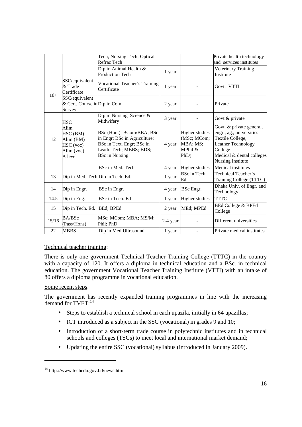|       |                                                                     | Tech; Nursing Tech; Optical<br>Refrac Tech                                                                                                 |          |                                                              | Private health technology<br>and services institutes                                                                                                        |
|-------|---------------------------------------------------------------------|--------------------------------------------------------------------------------------------------------------------------------------------|----------|--------------------------------------------------------------|-------------------------------------------------------------------------------------------------------------------------------------------------------------|
|       |                                                                     | Dip in Animal Health &<br><b>Production Tech</b>                                                                                           | 1 year   |                                                              | Veterinary Training<br>Institute                                                                                                                            |
| $10+$ | SSC/equivalent<br>& Trade<br>Certificate                            | Vocational Teacher's Training<br>Certificate                                                                                               | 1 year   |                                                              | Govt. VTTI                                                                                                                                                  |
|       | SSC/equivalent<br>& Cert. Course in Dip in Com<br>Survey            |                                                                                                                                            | 2 year   |                                                              | Private                                                                                                                                                     |
|       | <b>HSC</b>                                                          | Dip in Nursing Science &<br>Midwifery                                                                                                      | 3 year   |                                                              | Govt & private                                                                                                                                              |
| 12    | Alim<br>HSC (BM)<br>Alim (BM)<br>HSC (voc)<br>Alim (voc)<br>A level | BSc (Hon.); BCom/BBA; BSc<br>in Engr; BSc in Agriculture;<br>BSc in Text. Engr; BSc in<br>Leath. Tech; MBBS; BDS;<br><b>BSc in Nursing</b> | 4 year   | Higher studies<br>(MSc; MCom;<br>MBA; MS;<br>MPhil &<br>PhD) | Govt. & private general,<br>engr., ag., universities<br>Textile College,<br>Leather Technology<br>College<br>Medical & dental colleges<br>Nursing Institute |
|       |                                                                     | BSc in Med. Tech.                                                                                                                          | 4 year   | <b>Higher studies</b>                                        | Medical institutes                                                                                                                                          |
| 13    | Dip in Med. Tech Dip in Tech. Ed.                                   |                                                                                                                                            | 1 year   | BSc in Tech.<br>Ed.                                          | <b>Technical Teacher's</b><br>Training College (TTTC)                                                                                                       |
| 14    | Dip in Engr.                                                        | BSc in Engr.                                                                                                                               | 4 year   | BSc Engr.                                                    | Dhaka Univ. of Engr. and<br>Technology                                                                                                                      |
| 14.5  | Dip in Eng.                                                         | BSc in Tech. Ed                                                                                                                            | 1 year   | Higher studies                                               | <b>TTTC</b>                                                                                                                                                 |
| 15    | Dip in Tech. Ed.                                                    | BEd; BPEd                                                                                                                                  | 2 year   | MEd; MPEd                                                    | BEd College & BPEd<br>College                                                                                                                               |
| 15/16 | BA/BSc<br>(Pass/Hons)                                               | MSc; MCom; MBA; MS/M;<br>Phil; PhD                                                                                                         | 2-4 year |                                                              | Different universities                                                                                                                                      |
| 22    | <b>MBBS</b>                                                         | Dip in Med Ultrasound                                                                                                                      | 1 year   | ÷.                                                           | Private medical institutes                                                                                                                                  |

## Technical teacher training:

There is only one government Technical Teacher Training College (TTTC) in the country with a capacity of 120. It offers a diploma in technical education and a BSc. in technical education. The government Vocational Teacher Training Institute (VTTI) with an intake of 80 offers a diploma programme in vocational education.

#### Some recent steps:

 $\overline{a}$ 

The government has recently expanded training programmes in line with the increasing demand for  $\text{TVET:}^{14}$ 

- Steps to establish a technical school in each upazila, initially in 64 upazillas;
- ICT introduced as a subject in the SSC (vocational) in grades 9 and 10;
- Introduction of a short-term trade course in polytechnic institutes and in technical schools and colleges (TSCs) to meet local and international market demand;
- Updating the entire SSC (vocational) syllabus (introduced in January 2009).

<sup>14</sup> http://www.techedu.gov.bd/news.html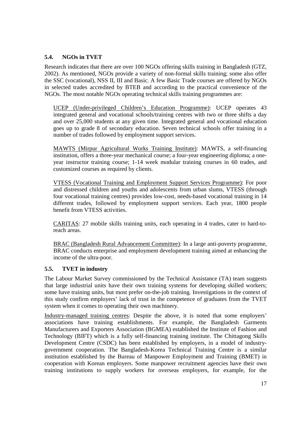## **5.4. NGOs in TVET**

Research indicates that there are over 100 NGOs offering skills training in Bangladesh (GTZ, 2002). As mentioned, NGOs provide a variety of non-formal skills training; some also offer the SSC (vocational), NSS II, III and Basic. A few Basic Trade courses are offered by NGOs in selected trades accredited by BTEB and according to the practical convenience of the NGOs. The most notable NGOs operating technical skills training programmes are:

UCEP (Under-privileged Children's Education Programme): UCEP operates 43 integrated general and vocational schools/training centres with two or three shifts a day and over 25,000 students at any given time. Integrated general and vocational education goes up to grade 8 of secondary education. Seven technical schools offer training in a number of trades followed by employment support services.

MAWTS (Mirpur Agricultural Works Training Institute): MAWTS, a self-financing institution, offers a three-year mechanical course; a four-year engineering diploma; a oneyear instructor training course; 1-14 week modular training courses in 60 trades, and customized courses as required by clients.

VTESS (Vocational Training and Employment Support Services Programme): For poor and distressed children and youths and adolescents from urban slums, VTESS (through four vocational training centres) provides low-cost, needs-based vocational training in 14 different trades, followed by employment support services. Each year, 1800 people benefit from VTESS activities.

CARITAS: 27 mobile skills training units, each operating in 4 trades, cater to hard-toreach areas.

BRAC (Bangladesh Rural Advancement Committee): In a large anti-poverty programme, BRAC conducts enterprise and employment development training aimed at enhancing the income of the ultra-poor.

## **5.5. TVET in industry**

The Labour Market Survey commissioned by the Technical Assistance (TA) team suggests that large industrial units have their own training systems for developing skilled workers; some have training units, but most prefer on-the-job training. Investigations in the context of this study confirm employers' lack of trust in the competence of graduates from the TVET system when it comes to operating their own machinery.

Industry-managed training centres: Despite the above, it is noted that some employers' associations have training establishments. For example, the Bangladesh Garments Manufacturers and Exporters Association (BGMEA) established the Institute of Fashion and Technology (BIFT) which is a fully self-financing training institute. The Chittagong Skills Development Centre (CSDC) has been established by employers, in a model of industrygovernment cooperation. The Bangladesh-Korea Technical Training Centre is a similar institution established by the Bureau of Manpower Employment and Training (BMET) in cooperation with Korean employers. Some manpower recruitment agencies have their own training institutions to supply workers for overseas employers, for example, for the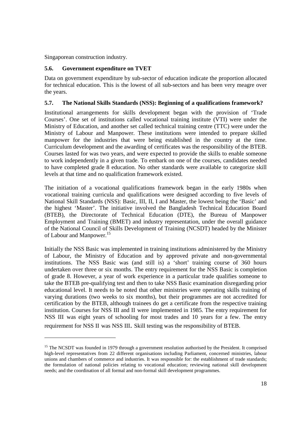Singaporean construction industry.

 $\overline{a}$ 

#### **5.6. Government expenditure on TVET**

Data on government expenditure by sub-sector of education indicate the proportion allocated for technical education. This is the lowest of all sub-sectors and has been very meagre over the years.

#### **5.7. The National Skills Standards (NSS): Beginning of a qualifications framework?**

Institutional arrangements for skills development began with the provision of 'Trade Courses'. One set of institutions called vocational training institute (VTI) were under the Ministry of Education, and another set called technical training centre (TTC) were under the Ministry of Labour and Manpower. These institutions were intended to prepare skilled manpower for the industries that were being established in the country at the time. Curriculum development and the awarding of certificates was the responsibility of the BTEB. Courses lasted for was two years, and were expected to provide the skills to enable someone to work independently in a given trade. To embark on one of the courses, candidates needed to have completed grade 8 education. No other standards were available to categorize skill levels at that time and no qualification framework existed.

The initiation of a vocational qualifications framework began in the early 1980s when vocational training curricula and qualifications were designed according to five levels of National Skill Standards (NSS): Basic, III, II, I and Master, the lowest being the 'Basic' and the highest 'Master'. The initiative involved the Bangladesh Technical Education Board (BTEB), the Directorate of Technical Education (DTE), the Bureau of Manpower Employment and Training (BMET) and industry representation, under the overall guidance of the National Council of Skills Development of Training (NCSDT) headed by the Minister of Labour and Manpower.<sup>15</sup>

Initially the NSS Basic was implemented in training institutions administered by the Ministry of Labour, the Ministry of Education and by approved private and non-governmental institutions. The NSS Basic was (and still is) a 'short' training course of 360 hours undertaken over three or six months. The entry requirement for the NSS Basic is completion of grade 8. However, a year of work experience in a particular trade qualifies someone to take the BTEB pre-qualifying test and then to take NSS Basic examination disregarding prior educational level. It needs to be noted that other ministries were operating skills training of varying durations (two weeks to six months), but their programmes are not accredited for certification by the BTEB, although trainees do get a certificate from the respective training institution. Courses for NSS III and II were implemented in 1985. The entry requirement for NSS III was eight years of schooling for most trades and 10 years for a few. The entry requirement for NSS II was NSS III. Skill testing was the responsibility of BTEB.

<sup>&</sup>lt;sup>15</sup> The NCSDT was founded in 1979 through a government resolution authorised by the President. It comprised high-level representatives from 22 different organisations including Parliament, concerned ministries, labour unions and chambers of commerce and industries. It was responsible for: the establishment of trade standards; the formulation of national policies relating to vocational education; reviewing national skill development needs; and the coordination of all formal and non-formal skill development programmes.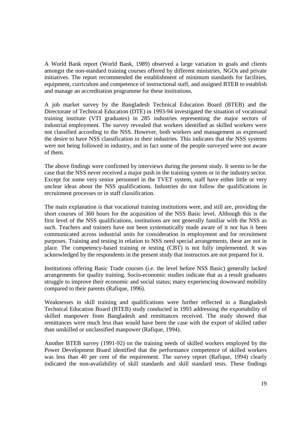A World Bank report (World Bank, 1989) observed a large variation in goals and clients amongst the non-standard training courses offered by different ministries, NGOs and private initiatives. The report recommended the establishment of minimum standards for facilities, equipment, curriculum and competence of instructional staff, and assigned BTEB to establish and manage an accreditation programme for these institutions.

A job market survey by the Bangladesh Technical Education Board (BTEB) and the Directorate of Technical Education (DTE) in 1993-94 investigated the situation of vocational training institute (VTI graduates) in 285 industries representing the major sectors of industrial employment. The survey revealed that workers identified as skilled workers were not classified according to the NSS. However, both workers and management as expressed the desire to have NSS classification in their industries. This indicates that the NSS systems were not being followed in industry, and in fact some of the people surveyed were not aware of them.

The above findings were confirmed by interviews during the present study. It seems to be the case that the NSS never received a major push in the training system or in the industry sector. Except for some very senior personnel in the TVET system, staff have either little or very unclear ideas about the NSS qualifications. Industries do not follow the qualifications in recruitment processes or in staff classification.

The main explanation is that vocational training institutions were, and still are, providing the short courses of 360 hours for the acquisition of the NSS Basic level. Although this is the first level of the NSS qualifications, institutions are not generally familiar with the NSS as such. Teachers and trainers have not been systematically made aware of it nor has it been communicated across industrial units for consideration in employment and for recruitment purposes. Training and testing in relation to NSS need special arrangements, these are not in place. The competency-based training or testing (CBT) is not fully implemented. It was acknowledged by the respondents in the present study that instructors are not prepared for it.

Institutions offering Basic Trade courses (i.e. the level before NSS Basic) generally lacked arrangements for quality training. Socio-economic studies indicate that as a result graduates struggle to improve their economic and social status; many experiencing downward mobility compared to their parents (Rafique, 1996).

Weaknesses in skill training and qualifications were further reflected in a Bangladesh Technical Education Board (BTEB) study conducted in 1993 addressing the exportability of skilled manpower from Bangladesh and remittances received. The study showed that remittances were much less than would have been the case with the export of skilled rather than unskilled or unclassified manpower (Rafique, 1994).

Another BTEB survey (1991-92) on the training needs of skilled workers employed by the Power Development Board identified that the performance competence of skilled workers was less than 40 per cent of the requirement. The survey report (Rafique, 1994) clearly indicated the non-availability of skill standards and skill standard tests. These findings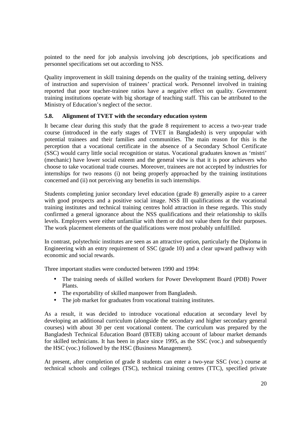pointed to the need for job analysis involving job descriptions, job specifications and personnel specifications set out according to NSS.

Quality improvement in skill training depends on the quality of the training setting, delivery of instruction and supervision of trainees' practical work. Personnel involved in training reported that poor teacher-trainee ratios have a negative effect on quality. Government training institutions operate with big shortage of teaching staff. This can be attributed to the Ministry of Education's neglect of the sector.

#### **5.8. Alignment of TVET with the secondary education system**

It became clear during this study that the grade 8 requirement to access a two-year trade course (introduced in the early stages of TVET in Bangladesh) is very unpopular with potential trainees and their families and communities. The main reason for this is the perception that a vocational certificate in the absence of a Secondary School Certificate (SSC) would carry little social recognition or status. Vocational graduates known as 'mistri' (mechanic) have lower social esteem and the general view is that it is poor achievers who choose to take vocational trade courses. Moreover, trainees are not accepted by industries for internships for two reasons (i) not being properly approached by the training institutions concerned and (ii) not perceiving any benefits in such internships.

Students completing junior secondary level education (grade 8) generally aspire to a career with good prospects and a positive social image. NSS III qualifications at the vocational training institutes and technical training centres hold attraction in these regards. This study confirmed a general ignorance about the NSS qualifications and their relationship to skills levels. Employers were either unfamiliar with them or did not value them for their purposes. The work placement elements of the qualifications were most probably unfulfilled.

In contrast, polytechnic institutes are seen as an attractive option, particularly the Diploma in Engineering with an entry requirement of SSC (grade 10) and a clear upward pathway with economic and social rewards.

Three important studies were conducted between 1990 and 1994:

- The training needs of skilled workers for Power Development Board (PDB) Power Plants.
- The exportability of skilled manpower from Bangladesh.
- The job market for graduates from vocational training institutes.

As a result, it was decided to introduce vocational education at secondary level by developing an additional curriculum (alongside the secondary and higher secondary general courses) with about 30 per cent vocational content. The curriculum was prepared by the Bangladesh Technical Education Board (BTEB) taking account of labour market demands for skilled technicians. It has been in place since 1995, as the SSC (voc.) and subsequently the HSC (voc.) followed by the HSC (Business Management).

At present, after completion of grade 8 students can enter a two-year SSC (voc.) course at technical schools and colleges (TSC), technical training centres (TTC), specified private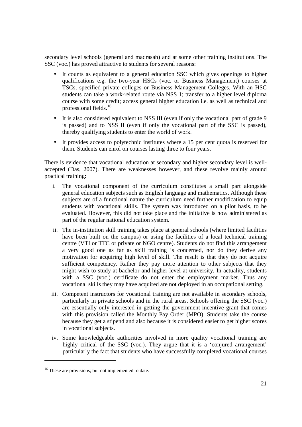secondary level schools (general and madrasah) and at some other training institutions. The SSC (voc.) has proved attractive to students for several reasons:

- It counts as equivalent to a general education SSC which gives openings to higher qualifications e.g. the two-year HSCs (voc. or Business Management) courses at TSCs, specified private colleges or Business Management Colleges. With an HSC students can take a work-related route via NSS 1; transfer to a higher level diploma course with some credit; access general higher education i.e. as well as technical and professional fields.<sup>16</sup>
- It is also considered equivalent to NSS III (even if only the vocational part of grade 9 is passed) and to NSS II (even if only the vocational part of the SSC is passed), thereby qualifying students to enter the world of work.
- It provides access to polytechnic institutes where a 15 per cent quota is reserved for them. Students can enrol on courses lasting three to four years.

There is evidence that vocational education at secondary and higher secondary level is wellaccepted (Das, 2007). There are weaknesses however, and these revolve mainly around practical training:

- i. The vocational component of the curriculum constitutes a small part alongside general education subjects such as English language and mathematics. Although these subjects are of a functional nature the curriculum need further modification to equip students with vocational skills. The system was introduced on a pilot basis, to be evaluated. However, this did not take place and the initiative is now administered as part of the regular national education system.
- ii. The in-institution skill training takes place at general schools (where limited facilities have been built on the campus) or using the facilities of a local technical training centre (VTI or TTC or private or NGO centre). Students do not find this arrangement a very good one as far as skill training is concerned, nor do they derive any motivation for acquiring high level of skill. The result is that they do not acquire sufficient competency. Rather they pay more attention to other subjects that they might wish to study at bachelor and higher level at university. In actuality, students with a SSC (voc.) certificate do not enter the employment market. Thus any vocational skills they may have acquired are not deployed in an occupational setting.
- iii. Competent instructors for vocational training are not available in secondary schools, particularly in private schools and in the rural areas. Schools offering the SSC (voc.) are essentially only interested in getting the government incentive grant that comes with this provision called the Monthly Pay Order (MPO). Students take the course because they get a stipend and also because it is considered easier to get higher scores in vocational subjects.
- iv. Some knowledgeable authorities involved in more quality vocational training are highly critical of the SSC (voc.). They argue that it is a 'conjured arrangement' particularly the fact that students who have successfully completed vocational courses

 $\overline{a}$ 

<sup>&</sup>lt;sup>16</sup> These are provisions; but not implemented to date.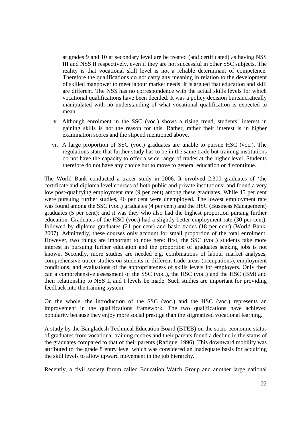at grades 9 and 10 at secondary level are be treated (and certificated) as having NSS III and NSS II respectively, even if they are not successful in other SSC subjects. The reality is that vocational skill level is not a reliable determinant of competence. Therefore the qualifications do not carry any meaning in relation to the development of skilled manpower to meet labour market needs. It is argued that education and skill are different. The NSS has no correspondence with the actual skills levels for which vocational qualifications have been decided. It was a policy decision bureaucratically manipulated with no understanding of what vocational qualification is expected to mean.

- v. Although enrolment in the SSC (voc.) shows a rising trend, students' interest in gaining skills is not the reason for this. Rather, rather their interest is in higher examination scores and the stipend mentioned above.
- vi. A large proportion of SSC (voc.) graduates are unable to pursue HSC (voc.). The regulations state that further study has to be in the same trade but training institutions do not have the capacity to offer a wide range of trades at the higher level. Students therefore do not have any choice but to move to general education or discontinue.

The World Bank conducted a tracer study in 2006. It involved 2,300 graduates of 'the certificate and diploma level courses of both public and private institutions' and found a very low post-qualifying employment rate (9 per cent) among these graduates. While 45 per cent were pursuing further studies, 46 per cent were unemployed. The lowest employment rate was found among the SSC (voc.) graduates (4 per cent) and the HSC (Business Management) graduates (5 per cent); and it was they who also had the highest proportion pursing further education. Graduates of the HSC (voc.) had a slightly better employment rate (30 per cent), followed by diploma graduates (21 per cent) and basic trades (18 per cent) (World Bank, 2007). Admittedly, these courses only account for small proportion of the total enrolment. However, two things are important to note here: first, the SSC (voc.) students take more interest in pursuing further education and the proportion of graduates seeking jobs is not known. Secondly, more studies are needed e.g. combinations of labour market analyses, comprehensive tracer studies on students in different trade areas (occupations), employment conditions, and evaluations of the appropriateness of skills levels for employers. Only then can a comprehensive assessment of the SSC (voc.), the HSC (voc.) and the HSC (BM) and their relationship to NSS II and I levels be made. Such studies are important for providing feedback into the training system.

On the whole, the introduction of the SSC (voc.) and the HSC (voc.) represents an improvement in the qualifications framework. The two qualifications have achieved popularity because they enjoy more social prestige than the stigmatized vocational learning.

A study by the Bangladesh Technical Education Board (BTEB) on the socio-economic status of graduates from vocational training centres and their parents found a decline in the status of the graduates compared to that of their parents (Rafique, 1996). This downward mobility was attributed to the grade 8 entry level which was considered an inadequate basis for acquiring the skill levels to allow upward movement in the job hierarchy.

Recently, a civil society forum called Education Watch Group and another large national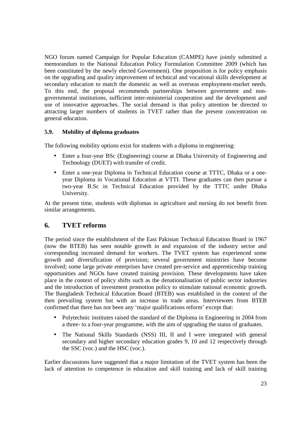NGO forum named Campaign for Popular Education (CAMPE) have jointly submitted a memorandum to the National Education Policy Formulation Committee 2009 (which has been constituted by the newly elected Government). One proposition is for policy emphasis on the upgrading and quality improvement of technical and vocational skills development at secondary education to match the domestic as well as overseas employment-market needs. To this end, the proposal recommends partnerships between government and nongovernmental institutions, sufficient inter-ministerial cooperation and the development and use of innovative approaches. The social demand is that policy attention be directed to attracting larger numbers of students in TVET rather than the present concentration on general education.

## **5.9. Mobility of diploma graduates**

The following mobility options exist for students with a diploma in engineering:

- Enter a four-year BSc (Engineering) course at Dhaka University of Engineering and Technology (DUET) with transfer of credit.
- Enter a one-year Diploma in Technical Education course at TTTC, Dhaka or a oneyear Diploma in Vocational Education at VTTI. These graduates can then pursue a two-year B.Sc in Technical Education provided by the TTTC under Dhaka University.

At the present time, students with diplomas in agriculture and nursing do not benefit from similar arrangements.

## **6. TVET reforms**

The period since the establishment of the East Pakistan Technical Education Board in 1967 (now the BTEB) has seen notable growth in and expansion of the industry sector and corresponding increased demand for workers. The TVET system has experienced some growth and diversification of provision; several government ministries have become involved; some large private enterprises have created pre-service and apprenticeship training opportunities and NGOs have created training provision. These developments have taken place in the context of policy shifts such as the denationalisation of public sector industries and the introduction of investment promotion policy to stimulate national economic growth. The Bangladesh Technical Education Board (BTEB) was established in the context of the then prevailing system but with an increase in trade areas. Interviewees from BTEB confirmed that there has not been any 'major qualifications reform' except that:

- Polytechnic institutes raised the standard of the Diploma in Engineering in 2004 from a three- to a four-year programme, with the aim of upgrading the status of graduates.
- The National Skills Standards (NSS) III, II and I were integrated with general secondary and higher secondary education grades 9, 10 and 12 respectively through the SSC (voc.) and the HSC (voc.).

Earlier discussions have suggested that a major limitation of the TVET system has been the lack of attention to competence in education and skill training and lack of skill training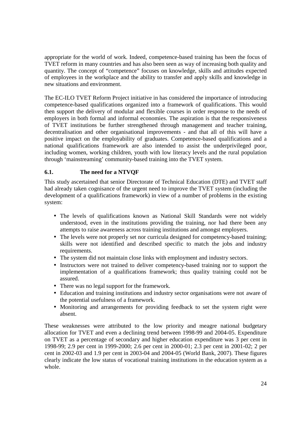appropriate for the world of work. Indeed, competence-based training has been the focus of TVET reform in many countries and has also been seen as way of increasing both quality and quantity. The concept of "competence" focuses on knowledge, skills and attitudes expected of employees in the workplace and the ability to transfer and apply skills and knowledge in new situations and environment.

The EC-ILO TVET Reform Project initiative in has considered the importance of introducing competence-based qualifications organized into a framework of qualifications. This would then support the delivery of modular and flexible courses in order response to the needs of employers in both formal and informal economies. The aspiration is that the responsiveness of TVET institutions be further strengthened through management and teacher training, decentralisation and other organisational improvements - and that all of this will have a positive impact on the employability of graduates. Competence-based qualifications and a national qualifications framework are also intended to assist the underprivileged poor, including women, working children, youth with low literacy levels and the rural population through 'mainstreaming' community-based training into the TVET system.

## **6.1. The need for a NTVQF**

This study ascertained that senior Directorate of Technical Education (DTE) and TVET staff had already taken cognisance of the urgent need to improve the TVET system (including the development of a qualifications framework) in view of a number of problems in the existing system:

- The levels of qualifications known as National Skill Standards were not widely understood, even in the institutions providing the training, nor had there been any attempts to raise awareness across training institutions and amongst employers.
- The levels were not properly set nor curricula designed for competency-based training: skills were not identified and described specific to match the jobs and industry requirements.
- The system did not maintain close links with employment and industry sectors.
- Instructors were not trained to deliver competency-based training nor to support the implementation of a qualifications framework; thus quality training could not be assured.
- There was no legal support for the framework.
- Education and training institutions and industry sector organisations were not aware of the potential usefulness of a framework.
- Monitoring and arrangements for providing feedback to set the system right were absent.

These weaknesses were attributed to the low priority and meagre national budgetary allocation for TVET and even a declining trend between 1998-99 and 2004-05. Expenditure on TVET as a percentage of secondary and higher education expenditure was 3 per cent in 1998-99; 2.9 per cent in 1999-2000; 2.6 per cent in 2000-01; 2.3 per cent in 2001-02; 2 per cent in 2002-03 and 1.9 per cent in 2003-04 and 2004-05 (World Bank, 2007). These figures clearly indicate the low status of vocational training institutions in the education system as a whole.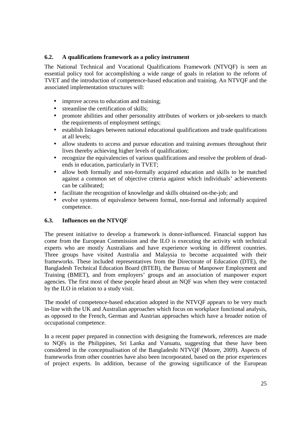#### **6.2. A qualifications framework as a policy instrument**

The National Technical and Vocational Qualifications Framework (NTVQF) is seen an essential policy tool for accomplishing a wide range of goals in relation to the reform of TVET and the introduction of competence-based education and training. An NTVQF and the associated implementation structures will:

- improve access to education and training;
- streamline the certification of skills;
- promote abilities and other personality attributes of workers or job-seekers to match the requirements of employment settings;
- establish linkages between national educational qualifications and trade qualifications at all levels;
- allow students to access and pursue education and training avenues throughout their lives thereby achieving higher levels of qualification;
- recognize the equivalencies of various qualifications and resolve the problem of deadends in education, particularly in TVET;
- allow both formally and non-formally acquired education and skills to be matched against a common set of objective criteria against which individuals' achievements can be calibrated;
- facilitate the recognition of knowledge and skills obtained on-the-job; and
- evolve systems of equivalence between formal, non-formal and informally acquired competence.

#### **6.3. Influences on the NTVQF**

The present initiative to develop a framework is donor-influenced. Financial support has come from the European Commission and the ILO is executing the activity with technical experts who are mostly Australians and have experience working in different countries. Three groups have visited Australia and Malaysia to become acquainted with their frameworks. These included representatives from the Directorate of Education (DTE), the Bangladesh Technical Education Board (BTEB), the Bureau of Manpower Employment and Training (BMET), and from employers' groups and an association of manpower export agencies. The first most of these people heard about an NQF was when they were contacted by the ILO in relation to a study visit.

The model of competence-based education adopted in the NTVQF appears to be very much in-line with the UK and Australian approaches which focus on workplace functional analysis, as opposed to the French, German and Austrian approaches which have a broader notion of occupational competence.

In a recent paper prepared in connection with designing the framework, references are made to NQFs in the Philippines, Sri Lanka and Vanuatu, suggesting that these have been considered in the conceptualisation of the Bangladeshi NTVQF (Moore, 2009). Aspects of frameworks from other countries have also been incorporated, based on the prior experiences of project experts. In addition, because of the growing significance of the European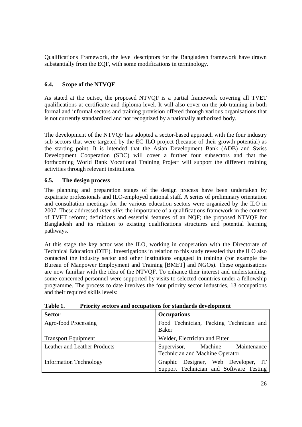Qualifications Framework, the level descriptors for the Bangladesh framework have drawn substantially from the EQF, with some modifications in terminology.

## **6.4. Scope of the NTVQF**

As stated at the outset, the proposed NTVQF is a partial framework covering all TVET qualifications at certificate and diploma level. It will also cover on-the-job training in both formal and informal sectors and training provision offered through various organisations that is not currently standardized and not recognized by a nationally authorized body.

The development of the NTVQF has adopted a sector-based approach with the four industry sub-sectors that were targeted by the EC-ILO project (because of their growth potential) as the starting point. It is intended that the Asian Development Bank (ADB) and Swiss Development Cooperation (SDC) will cover a further four subsectors and that the forthcoming World Bank Vocational Training Project will support the different training activities through relevant institutions.

## **6.5. The design process**

The planning and preparation stages of the design process have been undertaken by expatriate professionals and ILO-employed national staff. A series of preliminary orientation and consultation meetings for the various education sectors were organized by the ILO in 2007. These addressed *inter alia*: the importance of a qualifications framework in the context of TVET reform; definitions and essential features of an NQF; the proposed NTVQF for Bangladesh and its relation to existing qualifications structures and potential learning pathways.

At this stage the key actor was the ILO, working in cooperation with the Directorate of Technical Education (DTE). Investigations in relation to this study revealed that the ILO also contacted the industry sector and other institutions engaged in training (for example the Bureau of Manpower Employment and Training [BMET] and NGOs). These organisations are now familiar with the idea of the NTVQF. To enhance their interest and understanding, some concerned personnel were supported by visits to selected countries under a fellowship programme. The process to date involves the four priority sector industries, 13 occupations and their required skills levels:

| <b>Sector</b>                       | <b>Occupations</b>                                                             |  |  |  |  |
|-------------------------------------|--------------------------------------------------------------------------------|--|--|--|--|
| Agro-food Processing                | Food Technician, Packing Technician and<br><b>Baker</b>                        |  |  |  |  |
| <b>Transport Equipment</b>          | Welder, Electrician and Fitter                                                 |  |  |  |  |
| <b>Leather and Leather Products</b> | Supervisor, Machine Maintenance<br><b>Technician and Machine Operator</b>      |  |  |  |  |
| <b>Information Technology</b>       | Graphic Designer, Web Developer, IT<br>Support Technician and Software Testing |  |  |  |  |

**Table 1. Priority sectors and occupations for standards development**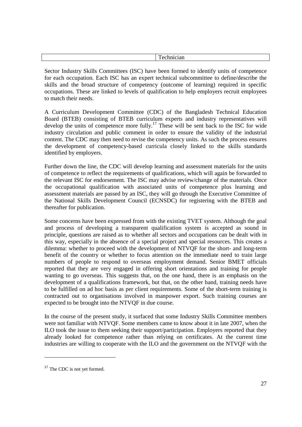| ౼ |
|---|
|   |

Sector Industry Skills Committees (ISC) have been formed to identify units of competence for each occupation. Each ISC has an expert technical subcommittee to define/describe the skills and the broad structure of competency (outcome of learning) required in specific occupations. These are linked to levels of qualification to help employers recruit employees to match their needs.

A Curriculum Development Committee (CDC) of the Bangladesh Technical Education Board (BTEB) consisting of BTEB curriculum experts and industry representatives will develop the units of competence more fully.<sup>17</sup> These will be sent back to the ISC for wide industry circulation and public comment in order to ensure the validity of the industrial content. The CDC may then need to revise the competency units. As such the process ensures the development of competency-based curricula closely linked to the skills standards identified by employers.

Further down the line, the CDC will develop learning and assessment materials for the units of competence to reflect the requirements of qualifications, which will again be forwarded to the relevant ISC for endorsement. The ISC may advise review/change of the materials. Once the occupational qualification with associated units of competence plus learning and assessment materials are passed by an ISC, they will go through the Executive Committee of the National Skills Development Council (ECNSDC) for registering with the BTEB and thereafter for publication.

Some concerns have been expressed from with the existing TVET system. Although the goal and process of developing a transparent qualification system is accepted as sound in principle, questions are raised as to whether all sectors and occupations can be dealt with in this way, especially in the absence of a special project and special resources. This creates a dilemma: whether to proceed with the development of NTVQF for the short- and long-term benefit of the country or whether to focus attention on the immediate need to train large numbers of people to respond to overseas employment demand. Senior BMET officials reported that they are very engaged in offering short orientations and training for people wanting to go overseas. This suggests that, on the one hand, there is an emphasis on the development of a qualifications framework, but that, on the other hand, training needs have to be fulfilled on ad hoc basis as per client requirements. Some of the short-term training is contracted out to organisations involved in manpower export. Such training courses are expected to be brought into the NTVQF in due course.

In the course of the present study, it surfaced that some Industry Skills Committee members were not familiar with NTVQF. Some members came to know about it in late 2007, when the ILO took the issue to them seeking their support/participation. Employers reported that they already looked for competence rather than relying on certificates. At the current time industries are willing to cooperate with the ILO and the government on the NTVQF with the

 $\overline{a}$ 

<sup>&</sup>lt;sup>17</sup> The CDC is not yet formed.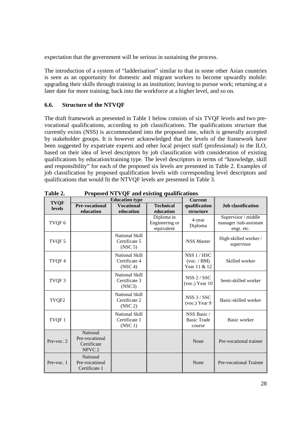expectation that the government will be serious in sustaining the process.

The introduction of a system of "ladderisation" similar to that in some other Asian countries is seen as an opportunity for domestic and migrant workers to become upwardly mobile: upgrading their skills through training in an institution; leaving to pursue work; returning at a later date for more training; back into the workforce at a higher level, and so on.

#### **6.6. Structure of the NTVQF**

The draft framework as presented in Table 1 below consists of six TVQF levels and two prevocational qualifications, according to job classifications. The qualifications structure that currently exists (NSS) is accommodated into the proposed one, which is generally accepted by stakeholder groups. It is however acknowledged that the levels of the framework have been suggested by expatriate experts and other local project staff (professional) in the ILO, based on their idea of level descriptors by job classification with consideration of existing qualifications by education/training type. The level descriptors in terms of "knowledge, skill and responsibility" for each of the proposed six levels are presented in Table 2. Examples of job classification by proposed qualification levels with corresponding level descriptors and qualifications that would fit the NTVQF levels are presented in Table 3.

| <b>TVQF</b>   |                                                                | <b>Education type</b>                                         |                                            | <b>Current</b>                              |                                                            |
|---------------|----------------------------------------------------------------|---------------------------------------------------------------|--------------------------------------------|---------------------------------------------|------------------------------------------------------------|
| <b>levels</b> | <b>Pre-vocational</b>                                          | <b>Vocational</b>                                             | <b>Technical</b>                           | qualification                               | <b>Job</b> classification                                  |
|               | education                                                      | education                                                     | education                                  | structure                                   |                                                            |
| TVQF6         |                                                                |                                                               | Diploma in<br>Engineering or<br>equivalent | 4-year<br>Diploma                           | Supervisor / middle<br>manager/sub-assistant<br>engr. etc. |
| TVQF 5        |                                                                | National Skill<br>Certificate 5<br>(NSC <sub>5</sub> )        |                                            | <b>NSS Master</b>                           | High-skilled worker /<br>supervisor                        |
| TVQF4         |                                                                | <b>National Skill</b><br>Certificate 4<br>(NSC <sub>4</sub> ) |                                            | NSS 1 / HSC<br>(voc. / BM)<br>Year 11 & 12  | Skilled worker                                             |
| TVQF3         |                                                                | <b>National Skill</b><br>Certificate 3<br>(NSC3)              |                                            | $NSS$ 2 / SSC<br>(voc.) Year 10             | Semi-skilled worker                                        |
| TVQF2         |                                                                | <b>National Skill</b><br>Certificate 2<br>(NSC <sub>2</sub> ) |                                            | NSS 3 / SSC<br>(voc.) Year 9                | Basic-skilled worker                                       |
| TVQF1         |                                                                | <b>National Skill</b><br>Certificate 1<br>(NSC1)              |                                            | NSS Basic /<br><b>Basic Trade</b><br>course | Basic worker                                               |
| Pre-voc. 2    | National<br>Pre-vocational<br>Certificate<br>NPVC <sub>2</sub> |                                                               |                                            | None                                        | Pre-vocational trainee                                     |
| Pre-voc. 1    | National<br>Pre-vocational<br>Certificate 1                    |                                                               |                                            | None                                        | Pre-vocational Trainee                                     |

**Table 2. Proposed NTVQF and existing qualifications**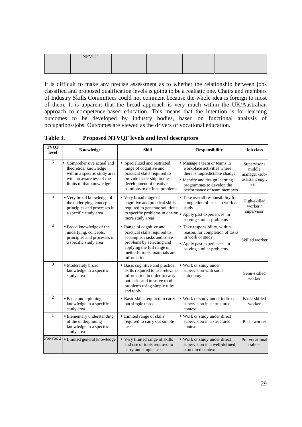| NPVC 1 |  |  |
|--------|--|--|
|        |  |  |
|        |  |  |

It is difficult to make any precise assessment as to whether the relationship between jobs classified and proposed qualification levels is going to be a realistic one. Chairs and members of Industry Skills Committees could not comment because the whole idea is foreign to most of them. It is apparent that the broad approach is very much within the UK/Australian approach to competence-based education. This means that the intention is for learning outcomes to be developed by industry bodies, based on functional analysis of occupations/jobs. Outcomes are viewed as the drivers of vocational education.

**Table 3. Proposed NTVQF levels and level descriptors** 

| <b>TVQF</b><br>level | Knowledge                                                                                                                                   | <b>Skill</b>                                                                                                                                                                                      | <b>Responsibility</b>                                                                                                                                                                    | <b>Job</b> class                                                  |
|----------------------|---------------------------------------------------------------------------------------------------------------------------------------------|---------------------------------------------------------------------------------------------------------------------------------------------------------------------------------------------------|------------------------------------------------------------------------------------------------------------------------------------------------------------------------------------------|-------------------------------------------------------------------|
| 6                    | • Comprehensive actual and<br>theoretical knowledge<br>within a specific study area<br>with an awareness of the<br>limits of that knowledge | • Specialized and restricted<br>range of cognitive and<br>practical skills required to<br>provide leadership in the<br>development of creative<br>solutions to defined problems                   | • Manage a team or teams in<br>workplace activities where<br>there is unpredictable change<br>· Identify and design learning<br>programmes to develop the<br>performance of team members | Supervisor /<br>middle<br>manager/sub-<br>assistant engr.<br>etc. |
| 5                    | · Very broad knowledge of<br>the underlying, concepts,<br>principles and processes in<br>a specific study area                              | • Very broad range of<br>cognitive and practical skills<br>required to generate solutions<br>to specific problems in one or $\bullet$<br>more study areas                                         | • Take overall responsibility for<br>completion of tasks in work or<br>study<br>Apply past experiences in<br>solving similar problems                                                    | High-skilled<br>worker/<br>supervisor                             |
| $\overline{4}$       | · Broad knowledge of the<br>underlying, concepts,<br>principles and processes in<br>a specific study area                                   | • Range of cognitive and<br>practical skills required to<br>accomplish tasks and solve<br>problems by selecting and<br>applying the full range of<br>methods, tools, materials and<br>information | • Take responsibility, within<br>reason, for completion of tasks<br>in work or study<br>• Apply past experiences in<br>solving similar problems                                          | Skilled worker                                                    |
| 3                    | • Moderately broad<br>knowledge in a specific<br>study area                                                                                 | • Basic cognitive and practical<br>skills required to use relevant<br>information in order to carry<br>out tasks and to solve routine<br>problems using simple rules<br>and tools                 | • Work or study under<br>supervision with some<br>autonomy                                                                                                                               | Semi-skilled<br>worker                                            |
| $\overline{2}$       | • Basic underpinning<br>knowledge in a specific<br>study area                                                                               | • Basic skills required to carry<br>out simple tasks                                                                                                                                              | • Work or study under indirect<br>supervision in a structured<br>context                                                                                                                 | Basic-skilled<br>worker                                           |
| $\mathbf{1}$         | • Elementary understanding<br>of the underpinning<br>knowledge in a specific<br>study area                                                  | • Limited range of skills<br>required to carry out simple<br>tasks                                                                                                                                | • Work or study under direct<br>supervision in a structured<br>context                                                                                                                   | Basic worker                                                      |
| Pre-voc 2            | · Limited general knowledge                                                                                                                 | • Very limited range of skills<br>and use of tools required to<br>carry out simple tasks                                                                                                          | • Work or study under direct<br>supervision in a well-defined,<br>structured context                                                                                                     | Pre-vocational<br>trainee                                         |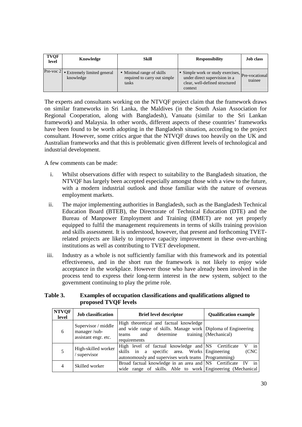| <b>TVOF</b><br>level | Knowledge                                             | Skill                                                              | <b>Responsibility</b>                                                                                                          | <b>Job class</b> |
|----------------------|-------------------------------------------------------|--------------------------------------------------------------------|--------------------------------------------------------------------------------------------------------------------------------|------------------|
|                      | Pre-voc $2 $ • Extremely limited general<br>knowledge | • Minimal range of skills<br>required to carry out simple<br>tasks | • Simple work or study exercises, Pre-vocational<br>under direct supervision in a<br>clear, well-defined structured<br>context | trainee          |

The experts and consultants working on the NTVQF project claim that the framework draws on similar frameworks in Sri Lanka, the Maldives (in the South Asian Association for Regional Cooperation, along with Bangladesh), Vanuatu (similar to the Sri Lankan framework) and Malaysia. In other words, different aspects of these countries' frameworks have been found to be worth adopting in the Bangladesh situation, according to the project consultant. However, some critics argue that the NTVQF draws too heavily on the UK and Australian frameworks and that this is problematic given different levels of technological and industrial development.

A few comments can be made:

- i. Whilst observations differ with respect to suitability to the Bangladesh situation, the NTVQF has largely been accepted especially amongst those with a view to the future, with a modern industrial outlook and those familiar with the nature of overseas employment markets.
- ii. The major implementing authorities in Bangladesh, such as the Bangladesh Technical Education Board (BTEB), the Directorate of Technical Education (DTE) and the Bureau of Manpower Employment and Training (BMET) are not yet properly equipped to fulfil the management requirements in terms of skills training provision and skills assessment. It is understood, however, that present and forthcoming TVETrelated projects are likely to improve capacity improvement in these over-arching institutions as well as contributing to TVET development.
- iii. Industry as a whole is not sufficiently familiar with this framework and its potential effectiveness, and in the short run the framework is not likely to enjoy wide acceptance in the workplace. However those who have already been involved in the process tend to express their long-term interest in the new system, subject to the government continuing to play the prime role.

#### **Table 3. Examples of occupation classifications and qualifications aligned to proposed TVQF levels**

| <b>NTVQF</b><br>level | <b>Job</b> classification                                   | <b>Brief level descriptor</b>                                                                                                                             | <b>Oualification example</b> |
|-----------------------|-------------------------------------------------------------|-----------------------------------------------------------------------------------------------------------------------------------------------------------|------------------------------|
| 6                     | Supervisor / middle<br>manager/sub-<br>assistant engr. etc. | High theoretical and factual knowledge<br>and wide range of skills. Manage work Diploma of Engineering<br>determine<br>and<br>teams<br>requirements       | training (Mechanical)        |
|                       | High-skilled worker<br>supervisor                           | High level of factual knowledge and NS Certificate<br>skills in a specific area. Works Engineering<br>autonomously and supervises work teams Programming) | in<br>V<br>(CNC              |
|                       | Skilled worker                                              | Broad factual knowledge in an area and NS Certificate IV<br>wide range of skills. Able to work Engineering (Mechanical                                    | in                           |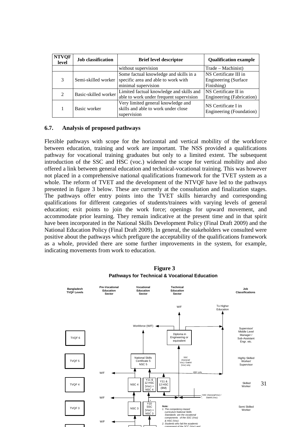| <b>NTVOF</b><br>level       | <b>Job</b> classification | <b>Brief level descriptor</b>                                                            | <b>Qualification example</b>                    |
|-----------------------------|---------------------------|------------------------------------------------------------------------------------------|-------------------------------------------------|
|                             |                           | without supervision                                                                      | Trade – Machinist)                              |
| 3                           | Semi-skilled worker       | Some factual knowledge and skills in a                                                   | NS Certificate III in                           |
|                             |                           | specific area and able to work with                                                      | <b>Engineering (Surface</b>                     |
|                             |                           | minimal supervision                                                                      | Finishing)                                      |
| $\mathcal{D}_{\mathcal{A}}$ | Basic-skilled worker      | Limited factual knowledge and skills and                                                 | NS Certificate II in                            |
|                             |                           | able to work under frequent supervision                                                  | Engineering (Fabrication)                       |
|                             | Basic worker              | Very limited general knowledge and<br>skills and able to work under close<br>supervision | NS Certificate I in<br>Engineering (Foundation) |

#### **6.7. Analysis of proposed pathways**

Flexible pathways with scope for the horizontal and vertical mobility of the workforce between education, training and work are important. The NSS provided a qualifications pathway for vocational training graduates but only to a limited extent. The subsequent introduction of the SSC and HSC (voc.) widened the scope for vertical mobility and also offered a link between general education and technical-vocational training. This was however not placed in a comprehensive national qualifications framework for the TVET system as a whole. The reform of TVET and the development of the NTVQF have led to the pathways presented in figure 3 below. These are currently at the consultation and finalization stages. The pathways offer entry points into the TVET skills hierarchy and corresponding qualifications for different categories of students/trainees with varying levels of general education; exit points to join the work force; openings for upward movement, and accommodate prior learning. They remain indicative at the present time and in that spirit have been incorporated in the National Skills Development Policy (Final Draft 2009) and the National Education Policy (Final Draft 2009). In general, the stakeholders we consulted were positive about the pathways which prefigure the acceptability of the qualifications framework as a whole, provided there are some further improvements in the system, for example, indicating movements from work to education.



**Figure 3 Pathways for Technical & Vocational Education**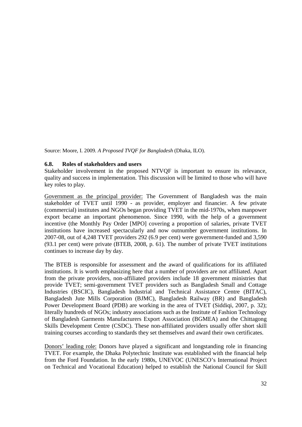Source: Moore, I. 2009. *A Proposed TVQF for Bangladesh* (Dhaka, ILO).

#### **6.8. Roles of stakeholders and users**

Stakeholder involvement in the proposed NTVQF is important to ensure its relevance, quality and success in implementation. This discussion will be limited to those who will have key roles to play.

Government as the principal provider: The Government of Bangladesh was the main stakeholder of TVET until 1990 - as provider, employer and financier. A few private (commercial) institutes and NGOs began providing TVET in the mid-1970s, when manpower export became an important phenomenon. Since 1990, with the help of a government incentive (the Monthly Pay Order [MPO] covering a proportion of salaries, private TVET institutions have increased spectacularly and now outnumber government institutions. In 2007-08, out of 4,248 TVET providers 292 (6.9 per cent) were government-funded and 3,590 (93.1 per cent) were private (BTEB, 2008, p. 61). The number of private TVET institutions continues to increase day by day.

The BTEB is responsible for assessment and the award of qualifications for its affiliated institutions. It is worth emphasizing here that a number of providers are not affiliated. Apart from the private providers, non-affiliated providers include 18 government ministries that provide TVET; semi-government TVET providers such as Bangladesh Small and Cottage Industries (BSCIC), Bangladesh Industrial and Technical Assistance Centre (BITAC), Bangladesh Jute Mills Corporation (BJMC), Bangladesh Railway (BR) and Bangladesh Power Development Board (PDB) are working in the area of TVET (Siddiqi, 2007, p. 32); literally hundreds of NGOs; industry associations such as the Institute of Fashion Technology of Bangladesh Garments Manufacturers Export Association (BGMEA) and the Chittagong Skills Development Centre (CSDC). These non-affiliated providers usually offer short skill training courses according to standards they set themselves and award their own certificates.

Donors' leading role: Donors have played a significant and longstanding role in financing TVET. For example, the Dhaka Polytechnic Institute was established with the financial help from the Ford Foundation. In the early 1980s, UNEVOC (UNESCO's International Project on Technical and Vocational Education) helped to establish the National Council for Skill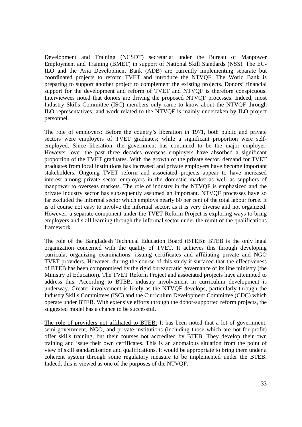Development and Training (NCSDT) secretariat under the Bureau of Manpower Employment and Training (BMET) in support of National Skill Standards (NSS). The EC-ILO and the Asia Development Bank (ADB) are currently implementing separate but coordinated projects to reform TVET and introduce the NTVQF. The World Bank is preparing to support another project to complement the existing projects. Donors' financial support for the development and reform of TVET and NTVQF is therefore conspicuous. Interviewees noted that donors are driving the proposed NTVQF processes. Indeed, most Industry Skills Committee (ISC) members only came to know about the NTVQF through ILO representatives; and work related to the NTVQF is mainly undertaken by ILO project personnel.

The role of employers: Before the country's liberation in 1971, both public and private sectors were employers of TVET graduates; while a significant proportion were selfemployed. Since liberation, the government has continued to be the major employer. However, over the past three decades overseas employers have absorbed a significant proportion of the TVET graduates. With the growth of the private sector, demand for TVET graduates from local institutions has increased and private employers have become important stakeholders. Ongoing TVET reform and associated projects appear to have increased interest among private sector employers in the domestic market as well as suppliers of manpower to overseas markets. The role of industry in the NTVQF is emphasized and the private industry sector has subsequently assumed an important. NTVQF processes have so far excluded the informal sector which employs nearly 80 per cent of the total labour force. It is of course not easy to involve the informal sector, as it is very diverse and not organized. However, a separate component under the TVET Reform Project is exploring ways to bring employers and skill learning through the informal sector under the remit of the qualifications framework.

The role of the Bangladesh Technical Education Board (BTEB): BTEB is the only legal organization concerned with the quality of TVET. It achieves this through developing curricula, organizing examinations, issuing certificates and affiliating private and NGO TVET providers. However, during the course of this study it surfaced that the effectiveness of BTEB has been compromised by the rigid bureaucratic governance of its line ministry (the Ministry of Education). The TVET Reform Project and associated projects have attempted to address this. According to BTEB, industry involvement in curriculum development is underway. Greater involvement is likely as the NTVQF develops, particularly through the Industry Skills Committees (ISC) and the Curriculum Development Committee (CDC) which operate under BTEB. With extensive efforts through the donor-supported reform projects, the suggested model has a chance to be successful.

The role of providers not affiliated to BTEB: It has been noted that a lot of government, semi-government, NGO, and private institutions (including those which are not-for-profit) offer skills training, but their courses not accredited by BTEB. They develop their own training and issue their own certificates. This is an anomalous situation from the point of view of skill standardisation and qualifications. It would be appropriate to bring them under a coherent system through some regulatory measure to be implemented under the BTEB. Indeed, this is viewed as one of the purposes of the NTVQF.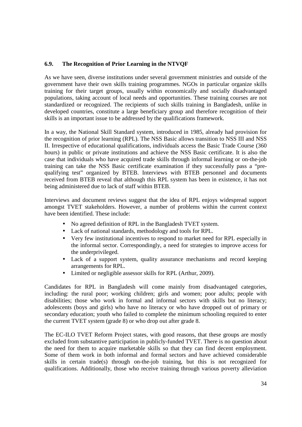## **6.9. The Recognition of Prior Learning in the NTVQF**

As we have seen, diverse institutions under several government ministries and outside of the government have their own skills training programmes. NGOs in particular organize skills training for their target groups, usually within economically and socially disadvantaged populations, taking account of local needs and opportunities. These training courses are not standardized or recognized. The recipients of such skills training in Bangladesh, unlike in developed countries, constitute a large beneficiary group and therefore recognition of their skills is an important issue to be addressed by the qualifications framework.

In a way, the National Skill Standard system, introduced in 1985, already had provision for the recognition of prior learning (RPL). The NSS Basic allows transition to NSS III and NSS II. Irrespective of educational qualifications, individuals access the Basic Trade Course (360 hours) in public or private institutions and achieve the NSS Basic certificate. It is also the case that individuals who have acquired trade skills through informal learning or on-the-job training can take the NSS Basic certificate examination if they successfully pass a "prequalifying test" organized by BTEB. Interviews with BTEB personnel and documents received from BTEB reveal that although this RPL system has been in existence, it has not being administered due to lack of staff within BTEB.

Interviews and document reviews suggest that the idea of RPL enjoys widespread support amongst TVET stakeholders. However, a number of problems within the current context have been identified. These include:

- No agreed definition of RPL in the Bangladesh TVET system.
- Lack of national standards, methodology and tools for RPL.
- Very few institutional incentives to respond to market need for RPL especially in the informal sector. Correspondingly, a need for strategies to improve access for the underprivileged.
- Lack of a support system, quality assurance mechanisms and record keeping arrangements for RPL.
- Limited or negligible assessor skills for RPL (Arthur, 2009).

Candidates for RPL in Bangladesh will come mainly from disadvantaged categories, including: the rural poor; working children; girls and women; poor adults; people with disabilities; those who work in formal and informal sectors with skills but no literacy; adolescents (boys and girls) who have no literacy or who have dropped out of primary or secondary education; youth who failed to complete the minimum schooling required to enter the current TVET system (grade 8) or who drop out after grade 8.

The EC-ILO TVET Reform Project states, with good reasons, that these groups are mostly excluded from substantive participation in publicly-funded TVET. There is no question about the need for them to acquire marketable skills so that they can find decent employment. Some of them work in both informal and formal sectors and have achieved considerable skills in certain trade(s) through on-the-job training, but this is not recognized for qualifications. Additionally, those who receive training through various poverty alleviation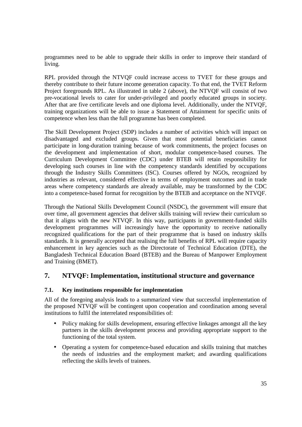programmes need to be able to upgrade their skills in order to improve their standard of living.

RPL provided through the NTVQF could increase access to TVET for these groups and thereby contribute to their future income generation capacity. To that end, the TVET Reform Project foregrounds RPL. As illustrated in table 2 (above), the NTVQF will consist of two pre-vocational levels to cater for under-privileged and poorly educated groups in society. After that are five certificate levels and one diploma level. Additionally, under the NTVQF, training organizations will be able to issue a Statement of Attainment for specific units of competence when less than the full programme has been completed.

The Skill Development Project (SDP) includes a number of activities which will impact on disadvantaged and excluded groups. Given that most potential beneficiaries cannot participate in long-duration training because of work commitments, the project focuses on the development and implementation of short, modular competence-based courses. The Curriculum Development Committee (CDC) under BTEB will retain responsibility for developing such courses in line with the competency standards identified by occupations through the Industry Skills Committees (ISC). Courses offered by NGOs, recognized by industries as relevant, considered effective in terms of employment outcomes and in trade areas where competency standards are already available, may be transformed by the CDC into a competence-based format for recognition by the BTEB and acceptance on the NTVQF.

Through the National Skills Development Council (NSDC), the government will ensure that over time, all government agencies that deliver skills training will review their curriculum so that it aligns with the new NTVQF. In this way, participants in government-funded skills development programmes will increasingly have the opportunity to receive nationally recognized qualifications for the part of their programme that is based on industry skills standards. It is generally accepted that realising the full benefits of RPL will require capacity enhancement in key agencies such as the Directorate of Technical Education (DTE), the Bangladesh Technical Education Board (BTEB) and the Bureau of Manpower Employment and Training (BMET).

## **7. NTVQF: Implementation, institutional structure and governance**

#### **7.1. Key institutions responsible for implementation**

All of the foregoing analysis leads to a summarized view that successful implementation of the proposed NTVQF will be contingent upon cooperation and coordination among several institutions to fulfil the interrelated responsibilities of:

- Policy making for skills development, ensuring effective linkages amongst all the key partners in the skills development process and providing appropriate support to the functioning of the total system.
- Operating a system for competence-based education and skills training that matches the needs of industries and the employment market; and awarding qualifications reflecting the skills levels of trainees.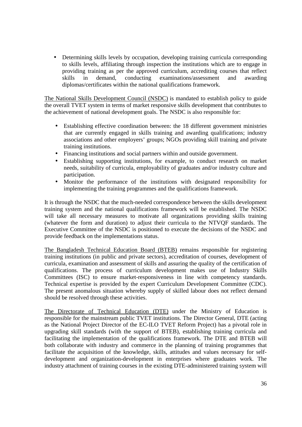• Determining skills levels by occupation, developing training curricula corresponding to skills levels, affiliating through inspection the institutions which are to engage in providing training as per the approved curriculum, accrediting courses that reflect skills in demand, conducting examinations/assessment and awarding diplomas/certificates within the national qualifications framework.

The National Skills Development Council (NSDC) is mandated to establish policy to guide the overall TVET system in terms of market responsive skills development that contributes to the achievement of national development goals. The NSDC is also responsible for:

- Establishing effective coordination between: the 18 different government ministries that are currently engaged in skills training and awarding qualifications; industry associations and other employers' groups; NGOs providing skill training and private training institutions.
- Financing institutions and social partners within and outside government.
- Establishing supporting institutions, for example, to conduct research on market needs, suitability of curricula, employability of graduates and/or industry culture and participation.
- Monitor the performance of the institutions with designated responsibility for implementing the training programmes and the qualifications framework.

It is through the NSDC that the much-needed correspondence between the skills development training system and the national qualifications framework will be established. The NSDC will take all necessary measures to motivate all organizations providing skills training (whatever the form and duration) to adjust their curricula to the NTVQF standards. The Executive Committee of the NSDC is positioned to execute the decisions of the NSDC and provide feedback on the implementations status.

The Bangladesh Technical Education Board (BTEB) remains responsible for registering training institutions (in public and private sectors), accreditation of courses, development of curricula, examination and assessment of skills and assuring the quality of the certification of qualifications. The process of curriculum development makes use of Industry Skills Committees (ISC) to ensure market-responsiveness in line with competency standards. Technical expertise is provided by the expert Curriculum Development Committee (CDC). The present anomalous situation whereby supply of skilled labour does not reflect demand should be resolved through these activities.

The Directorate of Technical Education (DTE) under the Ministry of Education is responsible for the mainstream public TVET institutions. The Director General, DTE (acting as the National Project Director of the EC-ILO TVET Reform Project) has a pivotal role in upgrading skill standards (with the support of BTEB), establishing training curricula and facilitating the implementation of the qualifications framework. The DTE and BTEB will both collaborate with industry and commerce in the planning of training programmes that facilitate the acquisition of the knowledge, skills, attitudes and values necessary for selfdevelopment and organization-development in enterprises where graduates work. The industry attachment of training courses in the existing DTE-administered training system will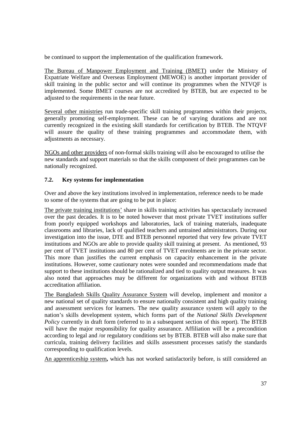be continued to support the implementation of the qualification framework.

The Bureau of Manpower Employment and Training (BMET) under the Ministry of Expatriate Welfare and Overseas Employment (MEWOE) is another important provider of skill training in the public sector and will continue its programmes when the NTVQF is implemented. Some BMET courses are not accredited by BTEB, but are expected to be adjusted to the requirements in the near future.

Several other ministries run trade-specific skill training programmes within their projects, generally promoting self-employment. These can be of varying durations and are not currently recognized in the existing skill standards for certification by BTEB. The NTQVF will assure the quality of these training programmes and accommodate them, with adjustments as necessary.

NGOs and other providers of non-formal skills training will also be encouraged to utilise the new standards and support materials so that the skills component of their programmes can be nationally recognized.

## **7.2. Key systems for implementation**

Over and above the key institutions involved in implementation, reference needs to be made to some of the systems that are going to be put in place:

The private training institutions' share in skills training activities has spectacularly increased over the past decades. It is to be noted however that most private TVET institutions suffer from poorly equipped workshops and laboratories, lack of training materials, inadequate classrooms and libraries, lack of qualified teachers and untrained administrators. During our investigation into the issue, DTE and BTEB personnel reported that very few private TVET institutions and NGOs are able to provide quality skill training at present. As mentioned, 93 per cent of TVET institutions and 80 per cent of TVET enrolments are in the private sector. This more than justifies the current emphasis on capacity enhancement in the private institutions. However, some cautionary notes were sounded and recommendations made that support to these institutions should be rationalized and tied to quality output measures. It was also noted that approaches may be different for organizations with and without BTEB accreditation affiliation.

The Bangladesh Skills Quality Assurance System will develop, implement and monitor a new national set of quality standards to ensure nationally consistent and high quality training and assessment services for learners. The new quality assurance system will apply to the nation's skills development system, which forms part of the *National Skills Development Policy* currently in draft form (referred to in a subsequent section of this report). The BTEB will have the major responsibility for quality assurance. Affiliation will be a precondition according to legal and /or regulatory conditions set by BTEB. BTEB will also make sure that curricula, training delivery facilities and skills assessment processes satisfy the standards corresponding to qualification levels.

An apprenticeship system**,** which has not worked satisfactorily before, is still considered an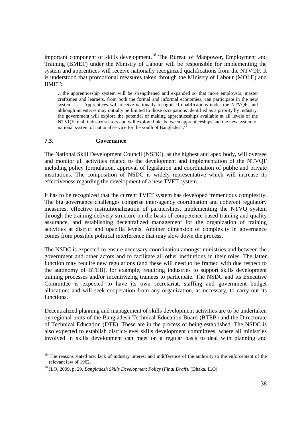important component of skills development.<sup>18</sup> The Bureau of Manpower, Employment and Training (BMET) under the Ministry of Labour will be responsible for implementing the system and apprentices will receive nationally recognized qualifications from the NTVQF. It is understood that promotional measures taken through the Ministry of Labour (MOLE) and BMET:

…the apprenticeship system will be strengthened and expanded so that more employers, master craftsmen and learners, from both the formal and informal economies, can participate in the new system.. …. Apprentices will receive nationally recognised qualifications under the NTVQF, and although incentives may initially be limited to those occupations identified as a priority by industry, the government will explore the potential of making apprenticeships available at all levels of the NTVQF in all industry sectors and will explore links between apprenticeships and the new system of national system of national service for the youth of Bangladesh.<sup>1</sup>

#### **7.3. Governance**

 $\overline{a}$ 

The National Skill Development Council (NSDC), as the highest and apex body, will oversee and monitor all activities related to the development and implementation of the NTVQF including policy formulation, approval of legislation and coordination of public and private institutions. The composition of NSDC is widely representative which will increase its effectiveness regarding the development of a new TVET system.

It has to be recognized that the current TVET system has developed tremendous complexity. The big governance challenges comprise inter-agency coordination and coherent regulatory measures, effective institutionalization of partnerships, implementing the NTVQ system through the training delivery structure on the basis of competence-based training and quality assurance, and establishing decentralized management for the organization of training activities at district and upazilla levels. Another dimension of complexity in governance comes from possible political interference that may slow down the process.

The NSDC is expected to ensure necessary coordination amongst ministries and between the government and other actors and to facilitate all other institutions in their roles. The latter function may require new regulations (and these will need to be framed with due respect to the autonomy of BTEB), for example, requiring industries to support skills development training processes and/or incentivizing trainees to participate. The NSDC and its Executive Committee is expected to have its own secretariat, staffing and government budget allocation; and will seek cooperation from any organization, as necessary, to carry out its functions.

Decentralized planning and management of skills development activities are to be undertaken by regional units of the Bangladesh Technical Education Board (BTEB) and the Directorate of Technical Education (DTE). These are in the process of being established. The NSDC is also expected to establish district-level skills development committees, where all ministries involved in skills development can meet on a regular basis to deal with planning and

<sup>&</sup>lt;sup>18</sup> The reasons stated are: lack of industry interest and indifference of the authority to the enforcement of the relevant law of 1962.

<sup>19</sup> ILO, 2009, p. 29. *Bangladesh Skills Development Policy* (*Final Draft*). (Dhaka, ILO).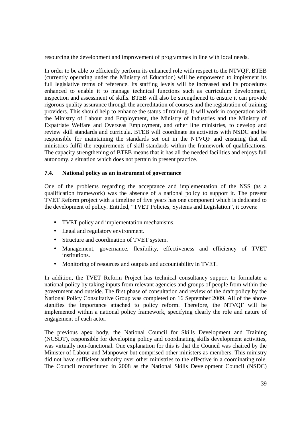resourcing the development and improvement of programmes in line with local needs.

In order to be able to efficiently perform its enhanced role with respect to the NTVQF, BTEB (currently operating under the Ministry of Education) will be empowered to implement its full legislative terms of reference. Its staffing levels will be increased and its procedures enhanced to enable it to manage technical functions such as curriculum development, inspection and assessment of skills. BTEB will also be strengthened to ensure it can provide rigorous quality assurance through the accreditation of courses and the registration of training providers. This should help to enhance the status of training. It will work in cooperation with the Ministry of Labour and Employment, the Ministry of Industries and the Ministry of Expatriate Welfare and Overseas Employment, and other line ministries, to develop and review skill standards and curricula. BTEB will coordinate its activities with NSDC and be responsible for maintaining the standards set out in the NTVQF and ensuring that all ministries fulfil the requirements of skill standards within the framework of qualifications. The capacity strengthening of BTEB means that it has all the needed facilities and enjoys full autonomy, a situation which does not pertain in present practice.

#### **7.4. National policy as an instrument of governance**

One of the problems regarding the acceptance and implementation of the NSS (as a qualification framework) was the absence of a national policy to support it. The present TVET Reform project with a timeline of five years has one component which is dedicated to the development of policy. Entitled, "TVET Policies, Systems and Legislation", it covers:

- TVET policy and implementation mechanisms.
- Legal and regulatory environment.
- Structure and coordination of TVET system.
- Management, governance, flexibility, effectiveness and efficiency of TVET institutions.
- Monitoring of resources and outputs and accountability in TVET.

In addition, the TVET Reform Project has technical consultancy support to formulate a national policy by taking inputs from relevant agencies and groups of people from within the government and outside. The first phase of consultation and review of the draft policy by the National Policy Consultative Group was completed on 16 September 2009. All of the above signifies the importance attached to policy reform. Therefore, the NTVQF will be implemented within a national policy framework, specifying clearly the role and nature of engagement of each actor.

The previous apex body, the National Council for Skills Development and Training (NCSDT), responsible for developing policy and coordinating skills development activities, was virtually non-functional. One explanation for this is that the Council was chaired by the Minister of Labour and Manpower but comprised other ministers as members. This ministry did not have sufficient authority over other ministries to the effective in a coordinating role. The Council reconstituted in 2008 as the National Skills Development Council (NSDC)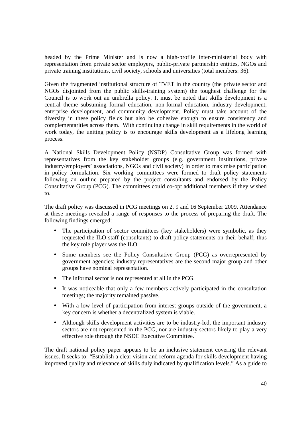headed by the Prime Minister and is now a high-profile inter-ministerial body with representation from private sector employers, public-private partnership entities, NGOs and private training institutions, civil society, schools and universities (total members: 36).

Given the fragmented institutional structure of TVET in the country (the private sector and NGOs disjointed from the public skills-training system) the toughest challenge for the Council is to work out an umbrella policy. It must be noted that skills development is a central theme subsuming formal education, non-formal education, industry development, enterprise development, and community development. Policy must take account of the diversity in these policy fields but also be cohesive enough to ensure consistency and complementarities across them. With continuing change in skill requirements in the world of work today, the uniting policy is to encourage skills development as a lifelong learning process.

A National Skills Development Policy (NSDP) Consultative Group was formed with representatives from the key stakeholder groups (e.g. government institutions, private industry/employers' associations, NGOs and civil society) in order to maximise participation in policy formulation. Six working committees were formed to draft policy statements following an outline prepared by the project consultants and endorsed by the Policy Consultative Group (PCG). The committees could co-opt additional members if they wished to.

The draft policy was discussed in PCG meetings on 2, 9 and 16 September 2009. Attendance at these meetings revealed a range of responses to the process of preparing the draft. The following findings emerged:

- The participation of sector committees (key stakeholders) were symbolic, as they requested the ILO staff (consultants) to draft policy statements on their behalf; thus the key role player was the ILO.
- Some members see the Policy Consultative Group (PCG) as overrepresented by government agencies; industry representatives are the second major group and other groups have nominal representation.
- The informal sector is not represented at all in the PCG.
- It was noticeable that only a few members actively participated in the consultation meetings; the majority remained passive.
- With a low level of participation from interest groups outside of the government, a key concern is whether a decentralized system is viable.
- Although skills development activities are to be industry-led, the important industry sectors are not represented in the PCG, nor are industry sectors likely to play a very effective role through the NSDC Executive Committee.

The draft national policy paper appears to be an inclusive statement covering the relevant issues. It seeks to: "Establish a clear vision and reform agenda for skills development having improved quality and relevance of skills duly indicated by qualification levels." As a guide to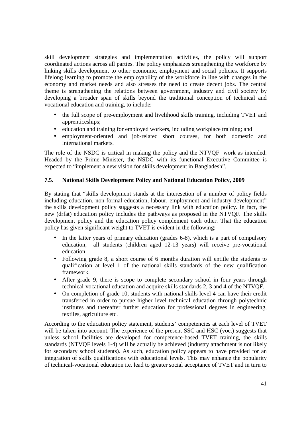skill development strategies and implementation activities, the policy will support coordinated actions across all parties. The policy emphasizes strengthening the workforce by linking skills development to other economic, employment and social policies. It supports lifelong learning to promote the employability of the workforce in line with changes in the economy and market needs and also stresses the need to create decent jobs. The central theme is strengthening the relations between government, industry and civil society by developing a broader span of skills beyond the traditional conception of technical and vocational education and training, to include:

- the full scope of pre-employment and livelihood skills training, including TVET and apprenticeships;
- education and training for employed workers, including workplace training; and
- employment-oriented and job-related short courses, for both domestic and international markets.

The role of the NSDC is critical in making the policy and the NTVQF work as intended. Headed by the Prime Minister, the NSDC with its functional Executive Committee is expected to "implement a new vision for skills development in Bangladesh".

#### **7.5. National Skills Development Policy and National Education Policy, 2009**

By stating that "skills development stands at the interesetion of a number of policy fields including education, non-formal education, labour, employment and industry development" the skills development policy suggests a necessary link with education policy. In fact, the new (drfat) education policy includes the pathways as proposed in the NTVQF. The skills development policy and the education policy complement each other. That the education policy has given significant weight to TVET is evident in the following:

- In the latter years of primary education (grades 6-8), which is a part of compulsory education, all students (children aged 12-13 years) will receive pre-vocational education.
- Following grade 8, a short course of 6 months duration will entitle the students to qualification at level 1 of the national skills standards of the new qualification framework.
- After grade 9, there is scope to complete secondary school in four years through technical-vocational education and acquire skills standards 2, 3 and 4 of the NTVQF.
- On completion of grade 10, students with national skills level 4 can have their credit transferred in order to pursue higher level technical education through polytechnic institutes and thereafter further education for professional degrees in engineering, textiles, agriculture etc.

According to the education policy statement, students' competencies at each level of TVET will be taken into account. The experience of the present SSC and HSC (voc.) suggests that unless school facilities are developed for competence-based TVET training, the skills standards (NTVQF levels 1-4) will be actually be achieved (industry attachment is not likely for secondary school students). As such, education policy appears to have provided for an integration of skills qualifications with educational levels. This may enhance the popularity of technical-vocational education i.e. lead to greater social acceptance of TVET and in turn to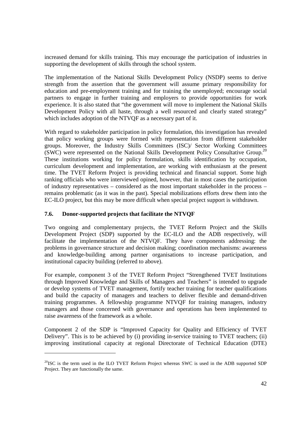increased demand for skills training. This may encourage the participation of industries in supporting the development of skills through the school system.

The implementation of the National Skills Development Policy (NSDP) seems to derive strength from the assertion that the government will assume primary responsibility for education and pre-employment training and for training the unemployed; encourage social partners to engage in further training and employers to provide opportunities for work experience. It is also stated that "the government will move to implement the National Skills Development Policy with all haste, through a well resourced and clearly stated strategy" which includes adoption of the NTVQF as a necessary part of it.

With regard to stakeholder participation in policy formulation, this investigation has revealed that policy working groups were formed with representation from different stakeholder groups. Moreover, the Industry Skills Committees (ISC)/ Sector Working Committees (SWC) were represented on the National Skills Development Policy Consultative Group.<sup>20</sup> These institutions working for policy formulation, skills identification by occupation, curriculum development and implementation, are working with enthusiasm at the present time. The TVET Reform Project is providing technical and financial support. Some high ranking officials who were interviewed opined, however, that in most cases the participation of industry representatives – considered as the most important stakeholder in the process – remains problematic (as it was in the past). Special mobilizations efforts drew them into the EC-ILO project, but this may be more difficult when special project support is withdrawn.

## **7.6. Donor-supported projects that facilitate the NTVQF**

 $\overline{a}$ 

Two ongoing and complementary projects, the TVET Reform Project and the Skills Development Project (SDP) supported by the EC-ILO and the ADB respectively, will facilitate the implementation of the NTVQF. They have components addressing: the problems in governance structure and decision making; coordination mechanisms: awareness and knowledge-building among partner organisations to increase participation, and institutional capacity building (referred to above).

For example, component 3 of the TVET Reform Project "Strengthened TVET Institutions through Improved Knowledge and Skills of Managers and Teachers" is intended to upgrade or develop systems of TVET management, fortify teacher training for teacher qualifications and build the capacity of managers and teachers to deliver flexible and demand-driven training programmes. A fellowship programme NTVQF for training managers, industry managers and those concerned with governance and operations has been implemented to raise awareness of the framework as a whole.

Component 2 of the SDP is "Improved Capacity for Quality and Efficiency of TVET Delivery". This is to be achieved by (i) providing in-service training to TVET teachers; (ii) improving institutional capacity at regional Directorate of Technical Education (DTE)

 $^{20}$ ISC is the term used in the ILO TVET Reform Project whereas SWC is used in the ADB supported SDP Project. They are functionally the same.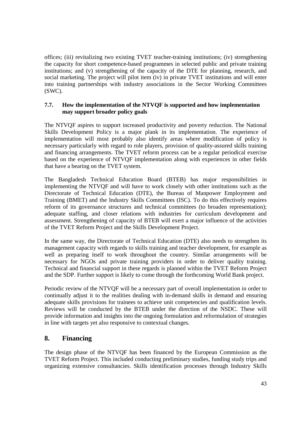offices; (iii) revitalizing two existing TVET teacher-training institutions; (iv) strengthening the capacity for short competence-based programmes in selected public and private training institutions; and (v) strengthening of the capacity of the DTE for planning, research, and social marketing. The project will pilot item (iv) in private TVET institutions and will enter into training partnerships with industry associations in the Sector Working Committees (SWC).

#### **7.7. How the implementation of the NTVQF is supported and how implementation may support broader policy goals**

The NTVQF aspires to support increased productivity and poverty reduction. The National Skills Development Policy is a major plank in its implementation. The experience of implementation will most probably also identify areas where modification of policy is necessary particularly with regard to role players, provision of quality-assured skills training and financing arrangements. The TVET reform process can be a regular periodical exercise based on the experience of NTVQF implementation along with experiences in other fields that have a bearing on the TVET system.

The Bangladesh Technical Education Board (BTEB) has major responsibilities in implementing the NTVQF and will have to work closely with other institutions such as the Directorate of Technical Education (DTE), the Bureau of Manpower Employment and Training (BMET) and the Industry Skills Committees (ISC). To do this effectively requires reform of its governance structures and technical committees (to broaden representation); adequate staffing, and closer relations with industries for curriculum development and assessment. Strengthening of capacity of BTEB will exert a major influence of the activities of the TVET Reform Project and the Skills Development Project.

In the same way, the Directorate of Technical Education (DTE) also needs to strengthen its management capacity with regards to skills training and teacher development, for example as well as preparing itself to work throughout the country. Similar arrangements will be necessary for NGOs and private training providers in order to deliver quality training. Technical and financial support in these regards is planned within the TVET Reform Project and the SDP. Further support is likely to come through the forthcoming World Bank project.

Periodic review of the NTVQF will be a necessary part of overall implementation in order to continually adjust it to the realities dealing with in-demand skills in demand and ensuring adequate skills provisions for trainees to achieve unit competencies and qualification levels. Reviews will be conducted by the BTEB under the direction of the NSDC. These will provide information and insights into the ongoing formulation and reformulation of strategies in line with targets yet also responsive to contextual changes.

## **8. Financing**

The design phase of the NTVQF has been financed by the European Commission as the TVET Reform Project. This included conducting preliminary studies, funding study trips and organizing extensive consultancies. Skills identification processes through Industry Skills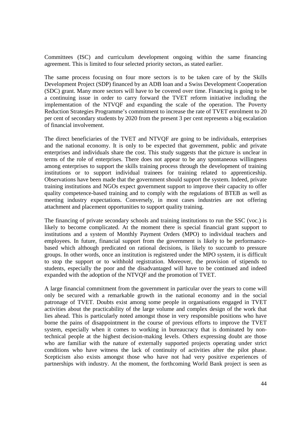Committees (ISC) and curriculum development ongoing within the same financing agreement. This is limited to four selected priority sectors, as stated earlier.

The same process focusing on four more sectors is to be taken care of by the Skills Development Project (SDP) financed by an ADB loan and a Swiss Development Cooperation (SDC) grant. Many more sectors will have to be covered over time. Financing is going to be a continuing issue in order to carry forward the TVET reform initiative including the implementation of the NTVQF and expanding the scale of the operation. The Poverty Reduction Strategies Programme's commitment to increase the rate of TVET enrolment to 20 per cent of secondary students by 2020 from the present 3 per cent represents a big escalation of financial involvement.

The direct beneficiaries of the TVET and NTVQF are going to be individuals, enterprises and the national economy. It is only to be expected that government, public and private enterprises and individuals share the cost. This study suggests that the picture is unclear in terms of the role of enterprises. There does not appear to be any spontaneous willingness among enterprises to support the skills training process through the development of training institutions or to support individual trainees for training related to apprenticeship. Observations have been made that the government should support the system. Indeed, private training institutions and NGOs expect government support to improve their capacity to offer quality competence-based training and to comply with the regulations of BTEB as well as meeting industry expectations. Conversely, in most cases industries are not offering attachment and placement opportunities to support quality training.

The financing of private secondary schools and training institutions to run the SSC (voc.) is likely to become complicated. At the moment there is special financial grant support to institutions and a system of Monthly Payment Orders (MPO) to individual teachers and employees. In future, financial support from the government is likely to be performancebased which although predicated on rational decisions, is likely to succumb to pressure groups. In other words, once an institution is registered under the MPO system, it is difficult to stop the support or to withhold registration. Moreover, the provision of stipends to students, especially the poor and the disadvantaged will have to be continued and indeed expanded with the adoption of the NTVQF and the promotion of TVET.

A large financial commitment from the government in particular over the years to come will only be secured with a remarkable growth in the national economy and in the social patronage of TVET. Doubts exist among some people in organisations engaged in TVET activities about the practicability of the large volume and complex design of the work that lies ahead. This is particularly noted amongst those in very responsible positions who have borne the pains of disappointment in the course of previous efforts to improve the TVET system, especially when it comes to working in bureaucracy that is dominated by nontechnical people at the highest decision-making levels. Others expressing doubt are those who are familiar with the nature of externally supported projects operating under strict conditions who have witness the lack of continuity of activities after the pilot phase. Scepticism also exists amongst those who have not had very positive experiences of partnerships with industry. At the moment, the forthcoming World Bank project is seen as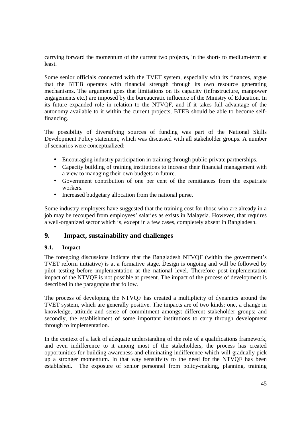carrying forward the momentum of the current two projects, in the short- to medium-term at least.

Some senior officials connected with the TVET system, especially with its finances, argue that the BTEB operates with financial strength through its own resource generating mechanisms. The argument goes that limitations on its capacity (infrastructure, manpower engagements etc.) are imposed by the bureaucratic influence of the Ministry of Education. In its future expanded role in relation to the NTVQF, and if it takes full advantage of the autonomy available to it within the current projects, BTEB should be able to become selffinancing.

The possibility of diversifying sources of funding was part of the National Skills Development Policy statement, which was discussed with all stakeholder groups. A number of scenarios were conceptualized:

- Encouraging industry participation in training through public-private partnerships.
- Capacity building of training institutions to increase their financial management with a view to managing their own budgets in future.
- Government contribution of one per cent of the remittances from the expatriate workers.
- Increased budgetary allocation from the national purse.

Some industry employers have suggested that the training cost for those who are already in a job may be recouped from employees' salaries as exists in Malaysia. However, that requires a well-organized sector which is, except in a few cases, completely absent in Bangladesh.

## **9. Impact, sustainability and challenges**

#### **9.1. Impact**

The foregoing discussions indicate that the Bangladesh NTVQF (within the government's TVET reform initiative) is at a formative stage. Design is ongoing and will be followed by pilot testing before implementation at the national level. Therefore post-implementation impact of the NTVQF is not possible at present. The impact of the process of development is described in the paragraphs that follow.

The process of developing the NTVQF has created a multiplicity of dynamics around the TVET system, which are generally positive. The impacts are of two kinds: one, a change in knowledge, attitude and sense of commitment amongst different stakeholder groups; and secondly, the establishment of some important institutions to carry through development through to implementation.

In the context of a lack of adequate understanding of the role of a qualifications framework, and even indifference to it among most of the stakeholders, the process has created opportunities for building awareness and eliminating indifference which will gradually pick up a stronger momentum. In that way sensitivity to the need for the NTVQF has been established. The exposure of senior personnel from policy-making, planning, training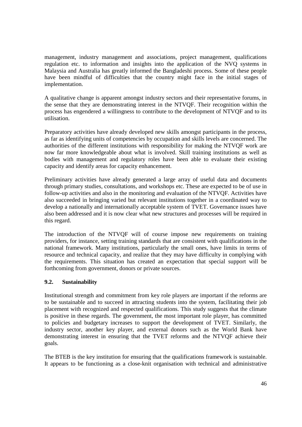management, industry management and associations, project management, qualifications regulation etc. to information and insights into the application of the NVQ systems in Malaysia and Australia has greatly informed the Bangladeshi process. Some of these people have been mindful of difficulties that the country might face in the initial stages of implementation.

A qualitative change is apparent amongst industry sectors and their representative forums, in the sense that they are demonstrating interest in the NTVQF. Their recognition within the process has engendered a willingness to contribute to the development of NTVQF and to its utilisation.

Preparatory activities have already developed new skills amongst participants in the process, as far as identifying units of competencies by occupation and skills levels are concerned. The authorities of the different institutions with responsibility for making the NTVQF work are now far more knowledgeable about what is involved. Skill training institutions as well as bodies with management and regulatory roles have been able to evaluate their existing capacity and identify areas for capacity enhancement.

Preliminary activities have already generated a large array of useful data and documents through primary studies, consultations, and workshops etc. These are expected to be of use in follow-up activities and also in the monitoring and evaluation of the NTVQF. Activities have also succeeded in bringing varied but relevant institutions together in a coordinated way to develop a nationally and internationally acceptable system of TVET. Governance issues have also been addressed and it is now clear what new structures and processes will be required in this regard.

The introduction of the NTVQF will of course impose new requirements on training providers, for instance, setting training standards that are consistent with qualifications in the national framework. Many institutions, particularly the small ones, have limits in terms of resource and technical capacity, and realize that they may have difficulty in complying with the requirements. This situation has created an expectation that special support will be forthcoming from government, donors or private sources.

## **9.2. Sustainability**

Institutional strength and commitment from key role players are important if the reforms are to be sustainable and to succeed in attracting students into the system, facilitating their job placement with recognized and respected qualifications. This study suggests that the climate is positive in these regards. The government, the most important role player, has committed to policies and budgetary increases to support the development of TVET. Similarly, the industry sector, another key player, and external donors such as the World Bank have demonstrating interest in ensuring that the TVET reforms and the NTVQF achieve their goals.

The BTEB is the key institution for ensuring that the qualifications framework is sustainable. It appears to be functioning as a close-knit organisation with technical and administrative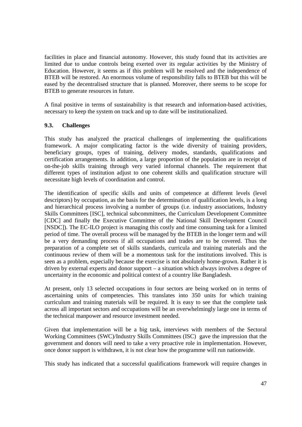facilities in place and financial autonomy. However, this study found that its activities are limited due to undue controls being exerted over its regular activities by the Ministry of Education. However, it seems as if this problem will be resolved and the independence of BTEB will be restored. An enormous volume of responsibility falls to BTEB but this will be eased by the decentralised structure that is planned. Moreover, there seems to be scope for BTEB to generate resources in future.

A final positive in terms of sustainability is that research and information-based activities, necessary to keep the system on track and up to date will be institutionalized.

#### **9.3. Challenges**

This study has analyzed the practical challenges of implementing the qualifications framework. A major complicating factor is the wide diversity of training providers, beneficiary groups, types of training, delivery modes, standards, qualifications and certification arrangements. In addition, a large proportion of the population are in receipt of on-the-job skills training through very varied informal channels. The requirement that different types of institution adjust to one coherent skills and qualification structure will necessitate high levels of coordination and control.

The identification of specific skills and units of competence at different levels (level descriptors) by occupation, as the basis for the determination of qualification levels, is a long and hierarchical process involving a number of groups (i.e. industry associations, Industry Skills Committees [ISC], technical subcommittees, the Curriculum Development Committee [CDC] and finally the Executive Committee of the National Skill Development Council [NSDC]). The EC-ILO project is managing this costly and time consuming task for a limited period of time. The overall process will be managed by the BTEB in the longer term and will be a very demanding process if all occupations and trades are to be covered. Thus the preparation of a complete set of skills standards, curricula and training materials and the continuous review of them will be a momentous task for the institutions involved. This is seen as a problem, especially because the exercise is not absolutely home-grown. Rather it is driven by external experts and donor support – a situation which always involves a degree of uncertainty in the economic and political context of a country like Bangladesh.

At present, only 13 selected occupations in four sectors are being worked on in terms of ascertaining units of competencies. This translates into 350 units for which training curriculum and training materials will be required. It is easy to see that the complete task across all important sectors and occupations will be an overwhelmingly large one in terms of the technical manpower and resource investment needed.

Given that implementation will be a big task, interviews with members of the Sectoral Working Committees (SWC)/Industry Skills Committees (ISC) gave the impression that the government and donors will need to take a very proactive role in implementation. However, once donor support is withdrawn, it is not clear how the programme will run nationwide.

This study has indicated that a successful qualifications framework will require changes in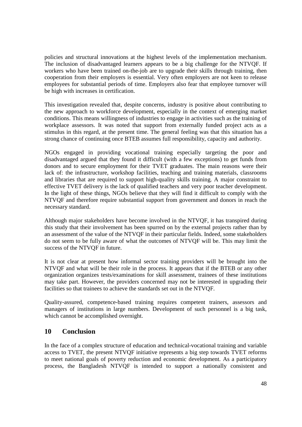policies and structural innovations at the highest levels of the implementation mechanism. The inclusion of disadvantaged learners appears to be a big challenge for the NTVQF. If workers who have been trained on-the-job are to upgrade their skills through training, then cooperation from their employers is essential. Very often employers are not keen to release employees for substantial periods of time. Employers also fear that employee turnover will be high with increases in certification.

This investigation revealed that, despite concerns, industry is positive about contributing to the new approach to workforce development, especially in the context of emerging market conditions. This means willingness of industries to engage in activities such as the training of workplace assessors. It was noted that support from externally funded project acts as a stimulus in this regard, at the present time. The general feeling was that this situation has a strong chance of continuing once BTEB assumes full responsibility, capacity and authority.

NGOs engaged in providing vocational training especially targeting the poor and disadvantaged argued that they found it difficult (with a few exceptions) to get funds from donors and to secure employment for their TVET graduates. The main reasons were their lack of: the infrastructure, workshop facilities, teaching and training materials, classrooms and libraries that are required to support high-quality skills training. A major constraint to effective TVET delivery is the lack of qualified teachers and very poor teacher development. In the light of these things, NGOs believe that they will find it difficult to comply with the NTVQF and therefore require substantial support from government and donors in reach the necessary standard.

Although major stakeholders have become involved in the NTVQF, it has transpired during this study that their involvement has been spurred on by the external projects rather than by an assessment of the value of the NTVQF in their particular fields. Indeed, some stakeholders do not seem to be fully aware of what the outcomes of NTVQF will be. This may limit the success of the NTVQF in future.

It is not clear at present how informal sector training providers will be brought into the NTVQF and what will be their role in the process. It appears that if the BTEB or any other organization organizes tests/examinations for skill assessment, trainees of these institutions may take part. However, the providers concerned may not be interested in upgrading their facilities so that trainees to achieve the standards set out in the NTVQF.

Quality-assured, competence-based training requires competent trainers, assessors and managers of institutions in large numbers. Development of such personnel is a big task, which cannot be accomplished overnight.

## **10 Conclusion**

In the face of a complex structure of education and technical-vocational training and variable access to TVET, the present NTVQF initiative represents a big step towards TVET reforms to meet national goals of poverty reduction and economic development. As a participatory process, the Bangladesh NTVQF is intended to support a nationally consistent and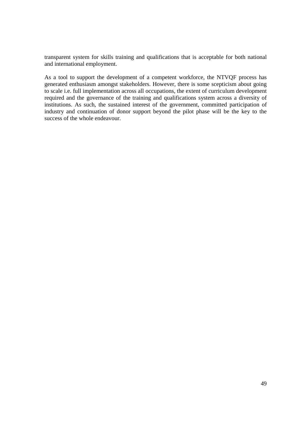transparent system for skills training and qualifications that is acceptable for both national and international employment.

As a tool to support the development of a competent workforce, the NTVQF process has generated enthusiasm amongst stakeholders. However, there is some scepticism about going to scale i.e. full implementation across all occupations, the extent of curriculum development required and the governance of the training and qualifications system across a diversity of institutions. As such, the sustained interest of the government, committed participation of industry and continuation of donor support beyond the pilot phase will be the key to the success of the whole endeavour.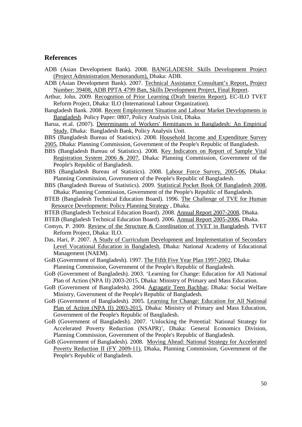#### **References**

- ADB (Asian Development Bank). 2008. BANGLADESH: Skills Development Project (Project Administration Memorandum), Dhaka: ADB.
- ADB (Asian Development Bank). 2007. Technical Assistance Consultant's Report, Project Number: 39408, ADB PPTA 4799 Ban, Skills Development Project, Final Report.
- Arthur, John. 2009. Recognition of Prior Learning (Draft Interim Report), EC-ILO TVET Reform Project, Dhaka: ILO (International Labour Organization).
- Bangladesh Bank. 2008. Recent Employment Situation and Labour Market Developments in Bangladesh. Policy Paper: 0807, Policy Analysis Unit, Dhaka.
- Barua, et.al. (2007). Determinants of Workers' Remittances in Bangladesh: An Empirical Study, Dhaka: Bangladesh Bank, Policy Analysis Unit.
- BBS (Bangladesh Bureau of Statistics). 2008. Household Income and Expenditure Survey
- 2005, Dhaka: Planning Commission, Government of the People's Republic of Bangladesh.
- BBS (Bangladesh Bureau of Statistics). 2008. Key Indicators on Report of Sample Vital Registration System 2006 & 2007, Dhaka: Planning Commission, Government of the People's Republic of Bangladesh.
- BBS (Bangladesh Bureau of Statistics). 2008. Labour Force Survey, 2005-06, Dhaka: Planning Commission, Government of the People's Republic of Bangladesh.
- BBS (Bangladesh Bureau of Statistics). 2009. Statistical Pocket Book Of Bangladesh 2008, Dhaka: Planning Commission, Government of the People's Republic of Bangladesh.
- BTEB (Bangladesh Technical Education Board). 1996. The Challenge of TVE for Human Resource Development: Policy Planning Strategy , Dhaka.
- BTEB (Bangladesh Technical Education Board). 2008. Annual Report 2007-2008, Dhaka.
- BTEB (Bangladesh Technical Education Board). 2006. Annual Report 2005-2006, Dhaka.
- Comyn, P. 2009. Review of the Structure & Coordination of TVET in Bangladesh, TVET Reform Project, Dhaka: ILO.
- Das, Hari, P. 2007. A Study of Curriculum Development and Implementation of Secondary Level Vocational Education in Bangladesh, Dhaka: National Academy of Educational Management (NAEM).
- GoB (Government of Bangladesh). 1997. The Fifth Five Year Plan 1997-2002, Dhaka: Planning Commission, Government of the People's Republic of Bangladesh.
- GoB (Government of Bangladesh). 2003. 'Learning for Change: Education for All National Plan of Action (NPA II) 2003-2015, Dhaka: Ministry of Primary and Mass Education.
- GoB (Government of Bangladesh). 2004. Agragatir Teen Bachhar*,* Dhaka: Social Welfare Ministry, Government of the People's Republic of Bangladesh.
- GoB (Government of Bangladesh). 2005. Learning for Change: Education for All National Plan of Action (NPA II) 2003-2015, Dhaka: Ministry of Primary and Mass Education, Government of the People's Republic of Bangladesh.
- GoB (Government of Bangladesh). 2007. 'Unlocking the Potential: National Strategy for Accelerated Poverty Reduction (NSAPR)', Dhaka: General Economics Division, Planning Commission, Government of the People's Republic of Bangladesh.
- GoB (Government of Bangladesh). 2008. Moving Ahead: National Strategy for Accelerated Poverty Reduction II (FY 2009-11), Dhaka, Planning Commission, Government of the People's Republic of Bangladesh.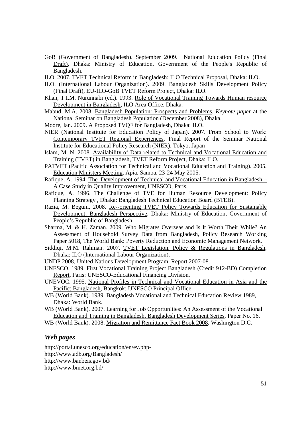- GoB (Government of Bangladesh). September 2009. National Education Policy (Final Draft), Dhaka: Ministry of Education, Government of the People's Republic of Bangladesh.
- ILO. 2007. TVET Technical Reform in Bangladesh: ILO Technical Proposal, Dhaka: ILO.
- ILO. (International Labour Organization). 2009. Bangladesh Skills Development Policy (Final Draft), EU-ILO-GoB TVET Reform Project, Dhaka: ILO.
- Khan, T.I.M. Nurunnabi (ed.). 1993. Role of Vocational Training Towards Human resource Development in Bangladesh, ILO Area Office, Dhaka.
- Mabud, M.A. 2008. Bangladesh Population: Prospects and Problems, *Keynote paper* at the National Seminar on Bangladesh Population (December 2008), Dhaka.
- Moore, Ian. 2009. A Proposed TVQF for Bangladesh, Dhaka: ILO.
- NIER (National Institute for Education Policy of Japan). 2007. From School to Work: Contemporary TVET Regional Experiences, Final Report of the Seminar National Institute for Educational Policy Research (NIER), Tokyo, Japan
- Islam, M. N. 2008. Availability of Data related to Technical and Vocational Education and Training (TVET) in Bangladesh, TVET Reform Project, Dhaka: ILO.
- PATVET (Pacific Association for Technical and Vocational Education and Training). 2005. Education Ministers Meeting, Apia, Samoa, 23-24 May 2005.
- Rafique, A. 1994. The Development of Technical and Vocational Education in Bangladesh A Case Study in Quality Improvement, UNESCO, Paris,
- Rafique, A. 1996. The Challenge of TVE for Human Resource Development: Policy Planning Strategy, Dhaka: Bangladesh Technical Education Board (BTEB).
- Razia, M. Begum, 2008. Re--orienting TVET Policy Towards Education for Sustainable Development: Bangladesh Perspective, Dhaka: Ministry of Education, Government of People's Republic of Bangladesh.
- Sharma, M. & H. Zaman. 2009. Who Migrates Overseas and Is It Worth Their While? An Assessment of Household Survey Data from Bangladesh, Policy Research Working Paper 5018, The World Bank: Poverty Reduction and Economic Management Network.
- Siddiqi, M.M. Rahman. 2007. TVET Legislation, Policy & Regulations in Bangladesh, Dhaka: ILO (International Labour Organization).
- UNDP 2008, United Nations Development Program, Report 2007-08.
- UNESCO. 1989. First Vocational Training Project Bangladesh (Credit 912-BD) Completion Report, Paris: UNESCO-Educational Financing Division.
- UNEVOC. 1995. National Profiles in Technical and Vocational Education in Asia and the Pacific: Bangladesh, Bangkok: UNESCO Principal Office.
- WB (World Bank). 1989. Bangladesh Vocational and Technical Education Review 1989, Dhaka: World Bank.

WB (World Bank). 2007. Learning for Job Opportunities: An Assessment of the Vocational Education and Training in Bangladesh, Bangladesh Development Series, Paper No. 16.

WB (World Bank). 2008. Migration and Remittance Fact Book 2008, Washington D.C.

## *Web pages*

http://portal.unesco.org/education/en/ev.phphttp://www.adb.org/Bangladesh/ http://www.banbeis.gov.bd/ http://www.bmet.org.bd/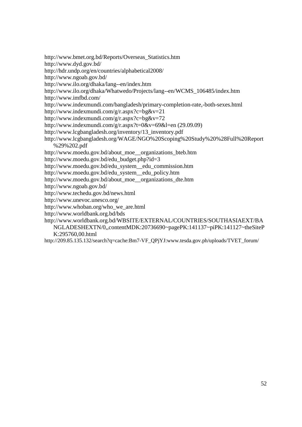http://www.bmet.org.bd/Reports/Overseas\_Statistics.htm

http://www.dyd.gov.bd/

http://hdr.undp.org/en/countries/alphabetical2008/

http://www.ngoab.gov.bd/

http://www.ilo.org/dhaka/lang--en/index.htm

http://www.ilo.org/dhaka/Whatwedo/Projects/lang--en/WCMS\_106485/index.htm http://www.imfbd.com/

http://www.indexmundi.com/bangladesh/primary-completion-rate,-both-sexes.html

http://www.indexmundi.com/g/r.aspx?c=bg&v=21

http://www.indexmundi.com/g/r.aspx?c=bg&v=72

http://www.indexmundi.com/g/r.aspx?t=0&v=69&l=en (29.09.09)

http://www.lcgbangladesh.org/inventory/13\_inventory.pdf

http://www.lcgbangladesh.org/WAGE/NGO%20Scoping%20Study%20%28Full%20Report %29%202.pdf

http://www.moedu.gov.bd/about\_moe\_\_organizations\_bteb.htm

http://www.moedu.gov.bd/edu\_budget.php?id=3

http://www.moedu.gov.bd/edu\_system\_\_edu\_commission.htm

http://www.moedu.gov.bd/edu\_system\_\_edu\_policy.htm

http://www.moedu.gov.bd/about\_moe\_\_organizations\_dte.htm

http://www.ngoab.gov.bd/

http://www.techedu.gov.bd/news.html

http://www.unevoc.unesco.org/

http://www.whoban.org/who\_we\_are.html

http://www.worldbank.org.bd/bds

http://www.worldbank.org.bd/WBSITE/EXTERNAL/COUNTRIES/SOUTHASIAEXT/BA NGLADESHEXTN/0,,contentMDK:20736690~pagePK:141137~piPK:141127~theSiteP

K:295760,00.html

http://209.85.135.132/search?q=cache:Bm7-VF\_QPjYJ:www.tesda.gov.ph/uploads/TVET\_forum/